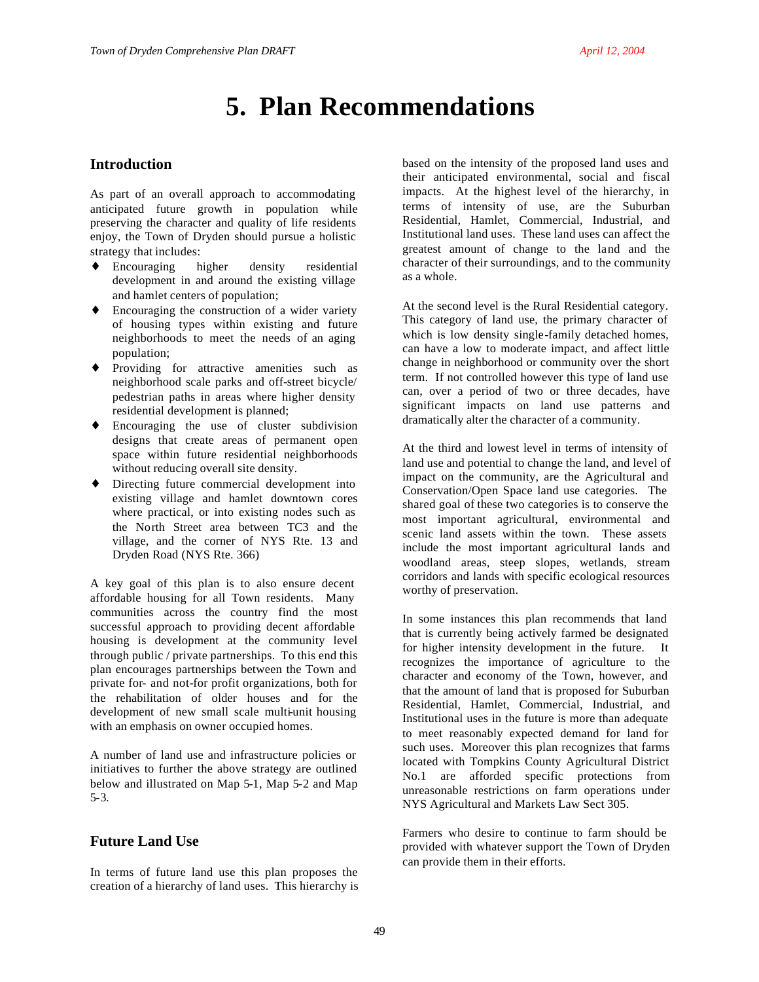# **5. Plan Recommendations**

# **Introduction**

As part of an overall approach to accommodating anticipated future growth in population while preserving the character and quality of life residents enjoy, the Town of Dryden should pursue a holistic strategy that includes:

- ♦ Encouraging higher density residential development in and around the existing village and hamlet centers of population;
- ♦ Encouraging the construction of a wider variety of housing types within existing and future neighborhoods to meet the needs of an aging population;
- Providing for attractive amenities such as neighborhood scale parks and off-street bicycle/ pedestrian paths in areas where higher density residential development is planned;
- ♦ Encouraging the use of cluster subdivision designs that create areas of permanent open space within future residential neighborhoods without reducing overall site density.
- ♦ Directing future commercial development into existing village and hamlet downtown cores where practical, or into existing nodes such as the North Street area between TC3 and the village, and the corner of NYS Rte. 13 and Dryden Road (NYS Rte. 366)

A key goal of this plan is to also ensure decent affordable housing for all Town residents. Many communities across the country find the most successful approach to providing decent affordable housing is development at the community level through public / private partnerships. To this end this plan encourages partnerships between the Town and private for- and not-for profit organizations, both for the rehabilitation of older houses and for the development of new small scale multi-unit housing with an emphasis on owner occupied homes.

A number of land use and infrastructure policies or initiatives to further the above strategy are outlined below and illustrated on Map 5-1, Map 5-2 and Map 5-3.

## **Future Land Use**

In terms of future land use this plan proposes the creation of a hierarchy of land uses. This hierarchy is based on the intensity of the proposed land uses and their anticipated environmental, social and fiscal impacts. At the highest level of the hierarchy, in terms of intensity of use, are the Suburban Residential, Hamlet, Commercial, Industrial, and Institutional land uses. These land uses can affect the greatest amount of change to the land and the character of their surroundings, and to the community as a whole.

At the second level is the Rural Residential category. This category of land use, the primary character of which is low density single-family detached homes, can have a low to moderate impact, and affect little change in neighborhood or community over the short term. If not controlled however this type of land use can, over a period of two or three decades, have significant impacts on land use patterns and dramatically alter the character of a community.

At the third and lowest level in terms of intensity of land use and potential to change the land, and level of impact on the community, are the Agricultural and Conservation/Open Space land use categories. The shared goal of these two categories is to conserve the most important agricultural, environmental and scenic land assets within the town. These assets include the most important agricultural lands and woodland areas, steep slopes, wetlands, stream corridors and lands with specific ecological resources worthy of preservation.

In some instances this plan recommends that land that is currently being actively farmed be designated for higher intensity development in the future. It recognizes the importance of agriculture to the character and economy of the Town, however, and that the amount of land that is proposed for Suburban Residential, Hamlet, Commercial, Industrial, and Institutional uses in the future is more than adequate to meet reasonably expected demand for land for such uses. Moreover this plan recognizes that farms located with Tompkins County Agricultural District No.1 are afforded specific protections from unreasonable restrictions on farm operations under NYS Agricultural and Markets Law Sect 305.

Farmers who desire to continue to farm should be provided with whatever support the Town of Dryden can provide them in their efforts.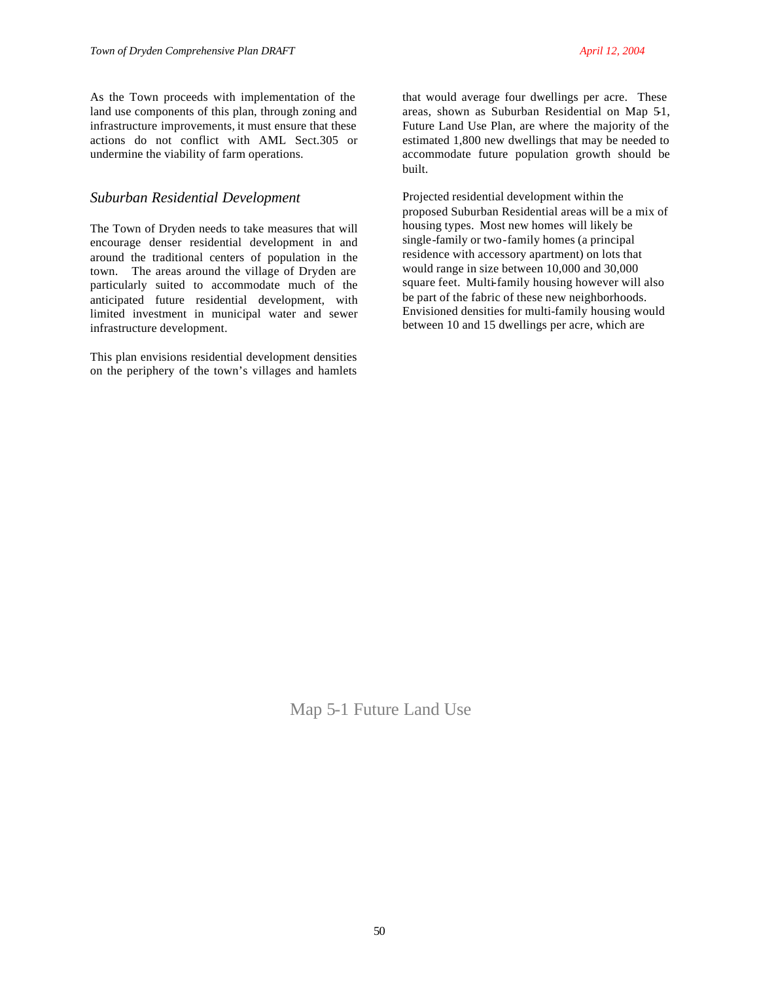As the Town proceeds with implementation of the land use components of this plan, through zoning and infrastructure improvements, it must ensure that these actions do not conflict with AML Sect.305 or undermine the viability of farm operations.

#### *Suburban Residential Development*

The Town of Dryden needs to take measures that will encourage denser residential development in and around the traditional centers of population in the town. The areas around the village of Dryden are particularly suited to accommodate much of the anticipated future residential development, with limited investment in municipal water and sewer infrastructure development.

This plan envisions residential development densities on the periphery of the town's villages and hamlets that would average four dwellings per acre. These areas, shown as Suburban Residential on Map 5-1, Future Land Use Plan, are where the majority of the estimated 1,800 new dwellings that may be needed to accommodate future population growth should be built.

Projected residential development within the proposed Suburban Residential areas will be a mix of housing types. Most new homes will likely be single-family or two-family homes (a principal residence with accessory apartment) on lots that would range in size between 10,000 and 30,000 square feet. Multi-family housing however will also be part of the fabric of these new neighborhoods. Envisioned densities for multi-family housing would between 10 and 15 dwellings per acre, which are

Map 5-1 Future Land Use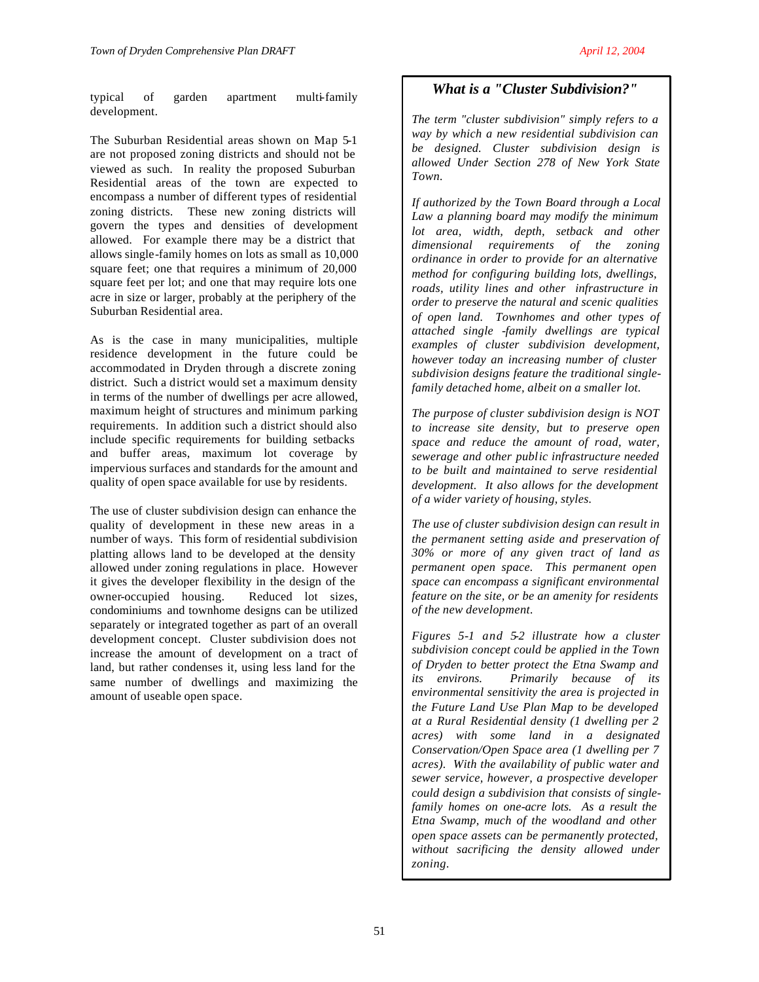typical of garden apartment multi-family development.

The Suburban Residential areas shown on Map 5-1 are not proposed zoning districts and should not be viewed as such. In reality the proposed Suburban Residential areas of the town are expected to encompass a number of different types of residential zoning districts. These new zoning districts will govern the types and densities of development allowed. For example there may be a district that allows single-family homes on lots as small as 10,000 square feet; one that requires a minimum of 20,000 square feet per lot; and one that may require lots one acre in size or larger, probably at the periphery of the Suburban Residential area.

As is the case in many municipalities, multiple residence development in the future could be accommodated in Dryden through a discrete zoning district. Such a district would set a maximum density in terms of the number of dwellings per acre allowed, maximum height of structures and minimum parking requirements. In addition such a district should also include specific requirements for building setbacks and buffer areas, maximum lot coverage by impervious surfaces and standards for the amount and quality of open space available for use by residents.

The use of cluster subdivision design can enhance the quality of development in these new areas in a number of ways. This form of residential subdivision platting allows land to be developed at the density allowed under zoning regulations in place. However it gives the developer flexibility in the design of the owner-occupied housing. Reduced lot sizes, condominiums and townhome designs can be utilized separately or integrated together as part of an overall development concept. Cluster subdivision does not increase the amount of development on a tract of land, but rather condenses it, using less land for the same number of dwellings and maximizing the amount of useable open space.

# *What is a "Cluster Subdivision?"*

*The term "cluster subdivision" simply refers to a way by which a new residential subdivision can be designed. Cluster subdivision design is allowed Under Section 278 of New York State Town.*

*If authorized by the Town Board through a Local Law a planning board may modify the minimum lot area, width, depth, setback and other dimensional requirements of the zoning ordinance in order to provide for an alternative method for configuring building lots, dwellings, roads, utility lines and other infrastructure in order to preserve the natural and scenic qualities of open land. Townhomes and other types of attached single -family dwellings are typical examples of cluster subdivision development, however today an increasing number of cluster subdivision designs feature the traditional singlefamily detached home, albeit on a smaller lot.*

*The purpose of cluster subdivision design is NOT to increase site density, but to preserve open space and reduce the amount of road, water, sewerage and other public infrastructure needed to be built and maintained to serve residential development. It also allows for the development of a wider variety of housing, styles.*

*The use of cluster subdivision design can result in the permanent setting aside and preservation of 30% or more of any given tract of land as permanent open space. This permanent open space can encompass a significant environmental feature on the site, or be an amenity for residents of the new development.*

*Figures 5-1 and 5-2 illustrate how a cluster subdivision concept could be applied in the Town of Dryden to better protect the Etna Swamp and its environs. Primarily because of its environmental sensitivity the area is projected in the Future Land Use Plan Map to be developed at a Rural Residential density (1 dwelling per 2 acres) with some land in a designated Conservation/Open Space area (1 dwelling per 7 acres). With the availability of public water and sewer service, however, a prospective developer could design a subdivision that consists of singlefamily homes on one-acre lots. As a result the Etna Swamp, much of the woodland and other open space assets can be permanently protected, without sacrificing the density allowed under zoning.*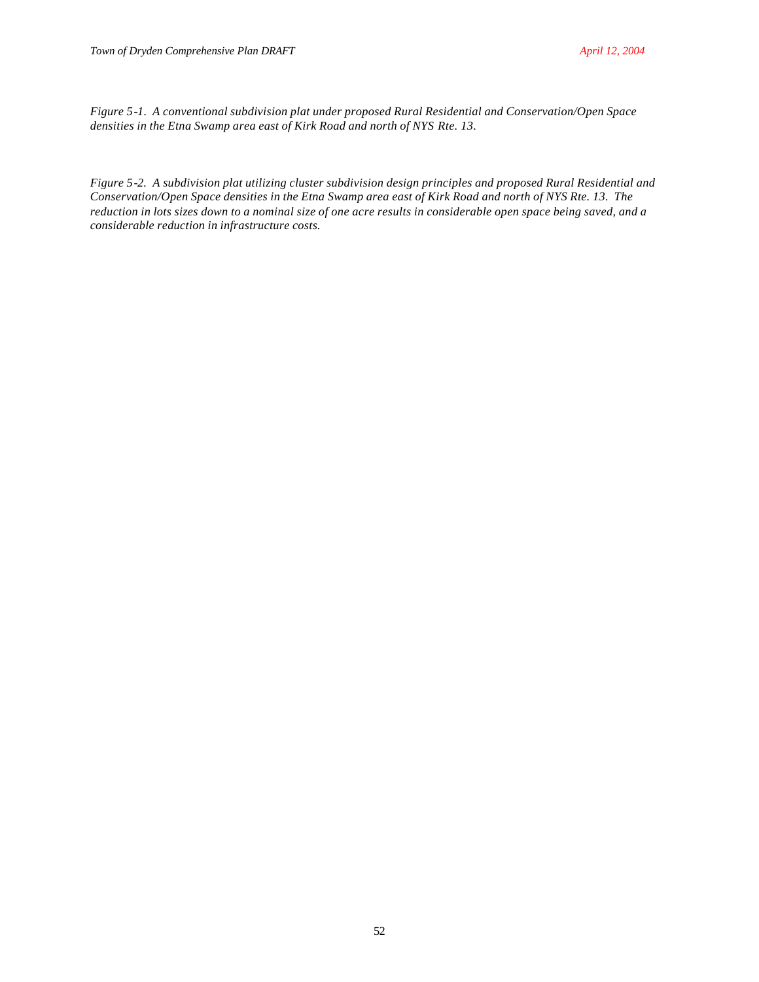*Figure 5-1. A conventional subdivision plat under proposed Rural Residential and Conservation/Open Space densities in the Etna Swamp area east of Kirk Road and north of NYS Rte. 13.*

*Figure 5-2. A subdivision plat utilizing cluster subdivision design principles and proposed Rural Residential and Conservation/Open Space densities in the Etna Swamp area east of Kirk Road and north of NYS Rte. 13. The reduction in lots sizes down to a nominal size of one acre results in considerable open space being saved, and a considerable reduction in infrastructure costs.*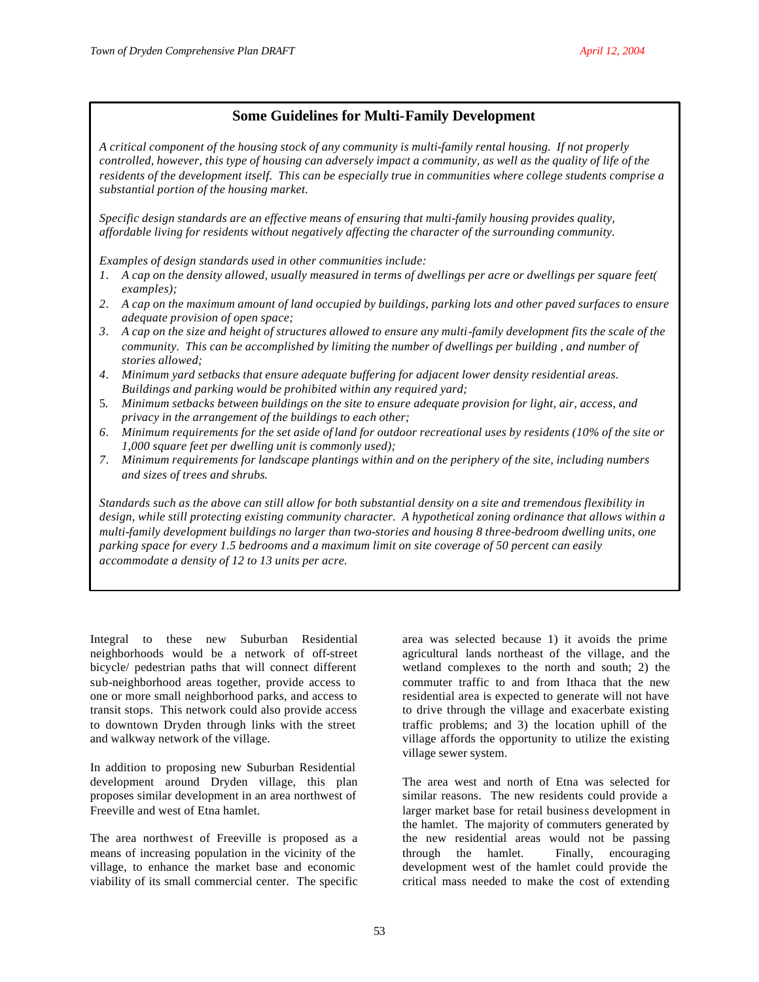# **Some Guidelines for Multi-Family Development**

*A critical component of the housing stock of any community is multi-family rental housing. If not properly controlled, however, this type of housing can adversely impact a community, as well as the quality of life of the residents of the development itself. This can be especially true in communities where college students comprise a substantial portion of the housing market.*

*Specific design standards are an effective means of ensuring that multi-family housing provides quality, affordable living for residents without negatively affecting the character of the surrounding community.* 

*Examples of design standards used in other communities include:*

- *1. A cap on the density allowed, usually measured in terms of dwellings per acre or dwellings per square feet( examples);*
- *2. A cap on the maximum amount of land occupied by buildings, parking lots and other paved surfaces to ensure adequate provision of open space;*
- *3. A cap on the size and height of structures allowed to ensure any multi-family development fits the scale of the community. This can be accomplished by limiting the number of dwellings per building , and number of stories allowed;*
- *4. Minimum yard setbacks that ensure adequate buffering for adjacent lower density residential areas. Buildings and parking would be prohibited within any required yard;*
- 5. *Minimum setbacks between buildings on the site to ensure adequate provision for light, air, access, and privacy in the arrangement of the buildings to each other;*
- *6. Minimum requirements for the set aside of land for outdoor recreational uses by residents (10% of the site or 1,000 square feet per dwelling unit is commonly used);*
- *7. Minimum requirements for landscape plantings within and on the periphery of the site, including numbers and sizes of trees and shrubs.*

*Standards such as the above can still allow for both substantial density on a site and tremendous flexibility in design, while still protecting existing community character. A hypothetical zoning ordinance that allows within a multi-family development buildings no larger than two-stories and housing 8 three-bedroom dwelling units, one parking space for every 1.5 bedrooms and a maximum limit on site coverage of 50 percent can easily accommodate a density of 12 to 13 units per acre.*

Integral to these new Suburban Residential neighborhoods would be a network of off-street bicycle/ pedestrian paths that will connect different sub-neighborhood areas together, provide access to one or more small neighborhood parks, and access to transit stops. This network could also provide access to downtown Dryden through links with the street and walkway network of the village.

In addition to proposing new Suburban Residential development around Dryden village, this plan proposes similar development in an area northwest of Freeville and west of Etna hamlet.

The area northwest of Freeville is proposed as a means of increasing population in the vicinity of the village, to enhance the market base and economic viability of its small commercial center. The specific

area was selected because 1) it avoids the prime agricultural lands northeast of the village, and the wetland complexes to the north and south; 2) the commuter traffic to and from Ithaca that the new residential area is expected to generate will not have to drive through the village and exacerbate existing traffic problems; and 3) the location uphill of the village affords the opportunity to utilize the existing village sewer system.

The area west and north of Etna was selected for similar reasons. The new residents could provide a larger market base for retail business development in the hamlet. The majority of commuters generated by the new residential areas would not be passing through the hamlet. Finally, encouraging development west of the hamlet could provide the critical mass needed to make the cost of extending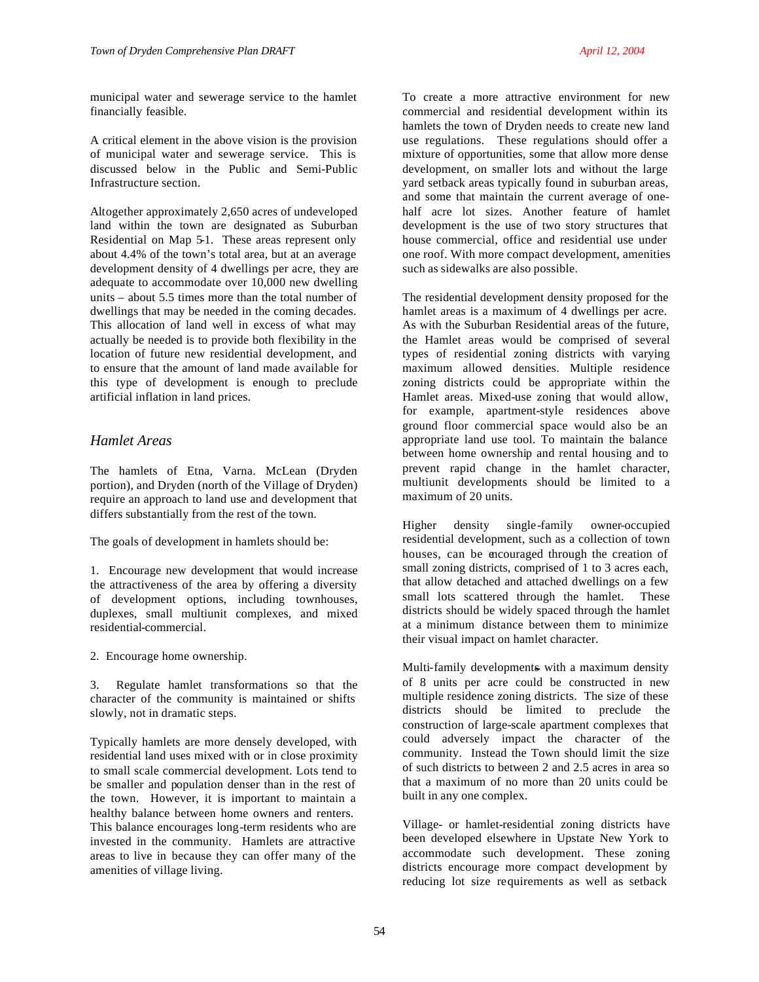municipal water and sewerage service to the hamlet financially feasible.

A critical element in the above vision is the provision of municipal water and sewerage service. This is discussed below in the Public and Semi-Public Infrastructure section.

Altogether approximately 2,650 acres of undeveloped land within the town are designated as Suburban Residential on Map 5-1. These areas represent only about 4.4% of the town's total area, but at an average development density of 4 dwellings per acre, they are adequate to accommodate over 10,000 new dwelling units – about 5.5 times more than the total number of dwellings that may be needed in the coming decades. This allocation of land well in excess of what may actually be needed is to provide both flexibility in the location of future new residential development, and to ensure that the amount of land made available for this type of development is enough to preclude artificial inflation in land prices.

# *Hamlet Areas*

The hamlets of Etna, Varna. McLean (Dryden portion), and Dryden (north of the Village of Dryden) require an approach to land use and development that differs substantially from the rest of the town.

The goals of development in hamlets should be:

1. Encourage new development that would increase the attractiveness of the area by offering a diversity of development options, including townhouses, duplexes, small multiunit complexes, and mixed residential-commercial.

2. Encourage home ownership.

3. Regulate hamlet transformations so that the character of the community is maintained or shifts slowly, not in dramatic steps.

Typically hamlets are more densely developed, with residential land uses mixed with or in close proximity to small scale commercial development. Lots tend to be smaller and population denser than in the rest of the town. However, it is important to maintain a healthy balance between home owners and renters. This balance encourages long-term residents who are invested in the community. Hamlets are attractive areas to live in because they can offer many of the amenities of village living.

To create a more attractive environment for new commercial and residential development within its hamlets the town of Dryden needs to create new land use regulations. These regulations should offer a mixture of opportunities, some that allow more dense development, on smaller lots and without the large yard setback areas typically found in suburban areas, and some that maintain the current average of onehalf acre lot sizes. Another feature of hamlet development is the use of two story structures that house commercial, office and residential use under one roof. With more compact development, amenities such as sidewalks are also possible.

The residential development density proposed for the hamlet areas is a maximum of 4 dwellings per acre. As with the Suburban Residential areas of the future, the Hamlet areas would be comprised of several types of residential zoning districts with varying maximum allowed densities. Multiple residence zoning districts could be appropriate within the Hamlet areas. Mixed-use zoning that would allow, for example, apartment-style residences above ground floor commercial space would also be an appropriate land use tool. To maintain the balance between home ownership and rental housing and to prevent rapid change in the hamlet character, multiunit developments should be limited to a maximum of 20 units.

Higher density single-family owner-occupied residential development, such as a collection of town houses, can be encouraged through the creation of small zoning districts, comprised of 1 to 3 acres each, that allow detached and attached dwellings on a few small lots scattered through the hamlet. These districts should be widely spaced through the hamlet at a minimum distance between them to minimize their visual impact on hamlet character.

Multi-family developments with a maximum density of 8 units per acre could be constructed in new multiple residence zoning districts. The size of these districts should be limited to preclude the construction of large-scale apartment complexes that could adversely impact the character of the community. Instead the Town should limit the size of such districts to between 2 and 2.5 acres in area so that a maximum of no more than 20 units could be built in any one complex.

Village- or hamlet-residential zoning districts have been developed elsewhere in Upstate New York to accommodate such development. These zoning districts encourage more compact development by reducing lot size requirements as well as setback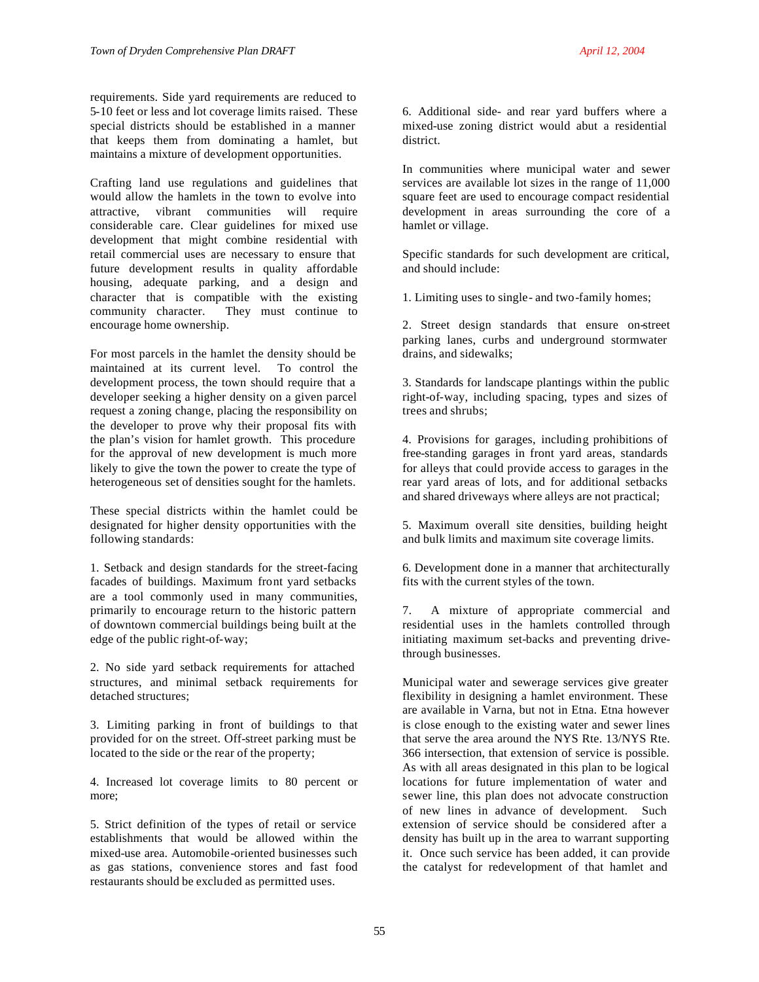requirements. Side yard requirements are reduced to 5-10 feet or less and lot coverage limits raised. These special districts should be established in a manner that keeps them from dominating a hamlet, but maintains a mixture of development opportunities.

Crafting land use regulations and guidelines that would allow the hamlets in the town to evolve into attractive, vibrant communities will require considerable care. Clear guidelines for mixed use development that might combine residential with retail commercial uses are necessary to ensure that future development results in quality affordable housing, adequate parking, and a design and character that is compatible with the existing community character. They must continue to encourage home ownership.

For most parcels in the hamlet the density should be maintained at its current level. To control the development process, the town should require that a developer seeking a higher density on a given parcel request a zoning change, placing the responsibility on the developer to prove why their proposal fits with the plan's vision for hamlet growth. This procedure for the approval of new development is much more likely to give the town the power to create the type of heterogeneous set of densities sought for the hamlets.

These special districts within the hamlet could be designated for higher density opportunities with the following standards:

1. Setback and design standards for the street-facing facades of buildings. Maximum front yard setbacks are a tool commonly used in many communities, primarily to encourage return to the historic pattern of downtown commercial buildings being built at the edge of the public right-of-way;

2. No side yard setback requirements for attached structures, and minimal setback requirements for detached structures;

3. Limiting parking in front of buildings to that provided for on the street. Off-street parking must be located to the side or the rear of the property;

4. Increased lot coverage limits to 80 percent or more;

5. Strict definition of the types of retail or service establishments that would be allowed within the mixed-use area. Automobile-oriented businesses such as gas stations, convenience stores and fast food restaurants should be excluded as permitted uses.

In communities where municipal water and sewer services are available lot sizes in the range of 11,000 square feet are used to encourage compact residential development in areas surrounding the core of a hamlet or village.

Specific standards for such development are critical, and should include:

1. Limiting uses to single- and two-family homes;

2. Street design standards that ensure on-street parking lanes, curbs and underground stormwater drains, and sidewalks;

3. Standards for landscape plantings within the public right-of-way, including spacing, types and sizes of trees and shrubs;

4. Provisions for garages, including prohibitions of free-standing garages in front yard areas, standards for alleys that could provide access to garages in the rear yard areas of lots, and for additional setbacks and shared driveways where alleys are not practical;

5. Maximum overall site densities, building height and bulk limits and maximum site coverage limits.

6. Development done in a manner that architecturally fits with the current styles of the town.

7. A mixture of appropriate commercial and residential uses in the hamlets controlled through initiating maximum set-backs and preventing drivethrough businesses.

Municipal water and sewerage services give greater flexibility in designing a hamlet environment. These are available in Varna, but not in Etna. Etna however is close enough to the existing water and sewer lines that serve the area around the NYS Rte. 13/NYS Rte. 366 intersection, that extension of service is possible. As with all areas designated in this plan to be logical locations for future implementation of water and sewer line, this plan does not advocate construction of new lines in advance of development. Such extension of service should be considered after a density has built up in the area to warrant supporting it. Once such service has been added, it can provide the catalyst for redevelopment of that hamlet and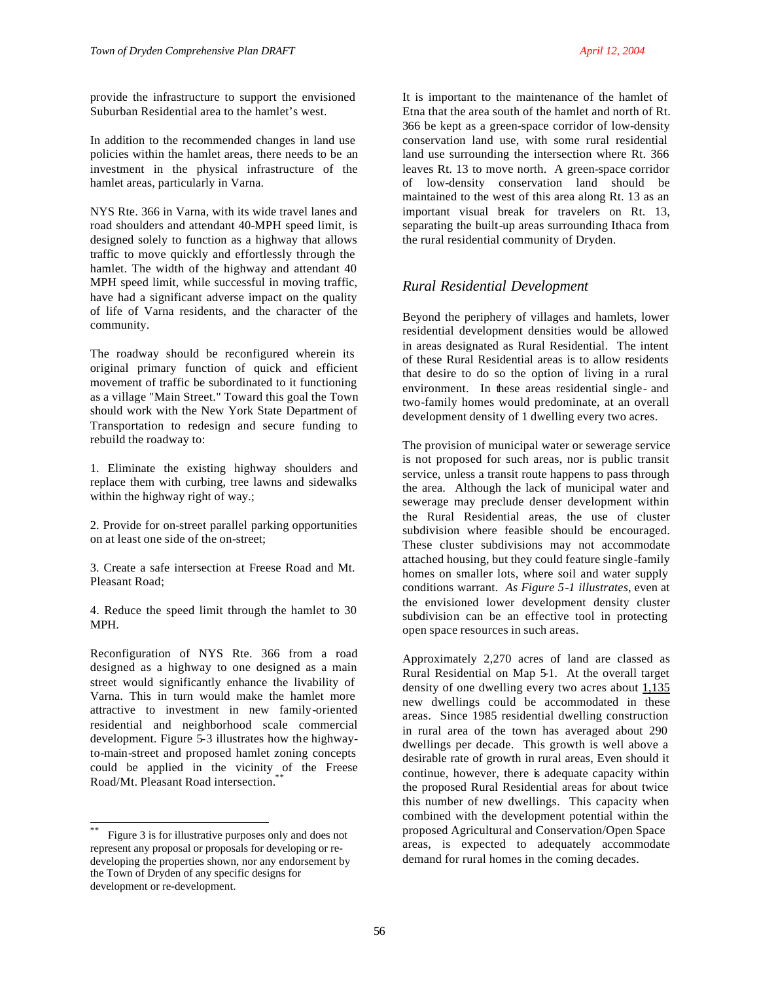provide the infrastructure to support the envisioned Suburban Residential area to the hamlet's west.

In addition to the recommended changes in land use policies within the hamlet areas, there needs to be an investment in the physical infrastructure of the hamlet areas, particularly in Varna.

NYS Rte. 366 in Varna, with its wide travel lanes and road shoulders and attendant 40-MPH speed limit, is designed solely to function as a highway that allows traffic to move quickly and effortlessly through the hamlet. The width of the highway and attendant 40 MPH speed limit, while successful in moving traffic, have had a significant adverse impact on the quality of life of Varna residents, and the character of the community.

The roadway should be reconfigured wherein its original primary function of quick and efficient movement of traffic be subordinated to it functioning as a village "Main Street." Toward this goal the Town should work with the New York State Department of Transportation to redesign and secure funding to rebuild the roadway to:

1. Eliminate the existing highway shoulders and replace them with curbing, tree lawns and sidewalks within the highway right of way.;

2. Provide for on-street parallel parking opportunities on at least one side of the on-street;

3. Create a safe intersection at Freese Road and Mt. Pleasant Road;

4. Reduce the speed limit through the hamlet to 30 MPH.

Reconfiguration of NYS Rte. 366 from a road designed as a highway to one designed as a main street would significantly enhance the livability of Varna. This in turn would make the hamlet more attractive to investment in new family-oriented residential and neighborhood scale commercial development. Figure 5-3 illustrates how the highwayto-main-street and proposed hamlet zoning concepts could be applied in the vicinity of the Freese Road/Mt. Pleasant Road intersection.<sup>\*</sup>

l

It is important to the maintenance of the hamlet of Etna that the area south of the hamlet and north of Rt. 366 be kept as a green-space corridor of low-density conservation land use, with some rural residential land use surrounding the intersection where Rt. 366 leaves Rt. 13 to move north. A green-space corridor of low-density conservation land should be maintained to the west of this area along Rt. 13 as an important visual break for travelers on Rt. 13, separating the built-up areas surrounding Ithaca from the rural residential community of Dryden.

## *Rural Residential Development*

Beyond the periphery of villages and hamlets, lower residential development densities would be allowed in areas designated as Rural Residential. The intent of these Rural Residential areas is to allow residents that desire to do so the option of living in a rural environment. In these areas residential single- and two-family homes would predominate, at an overall development density of 1 dwelling every two acres.

The provision of municipal water or sewerage service is not proposed for such areas, nor is public transit service, unless a transit route happens to pass through the area. Although the lack of municipal water and sewerage may preclude denser development within the Rural Residential areas, the use of cluster subdivision where feasible should be encouraged. These cluster subdivisions may not accommodate attached housing, but they could feature single-family homes on smaller lots, where soil and water supply conditions warrant. *As Figure 5-1 illustrates*, even at the envisioned lower development density cluster subdivision can be an effective tool in protecting open space resources in such areas.

Approximately 2,270 acres of land are classed as Rural Residential on Map 5-1. At the overall target density of one dwelling every two acres about 1,135 new dwellings could be accommodated in these areas. Since 1985 residential dwelling construction in rural area of the town has averaged about 290 dwellings per decade. This growth is well above a desirable rate of growth in rural areas, Even should it continue, however, there is adequate capacity within the proposed Rural Residential areas for about twice this number of new dwellings. This capacity when combined with the development potential within the proposed Agricultural and Conservation/Open Space areas, is expected to adequately accommodate demand for rural homes in the coming decades.

56

<sup>\*\*</sup> Figure 3 is for illustrative purposes only and does not represent any proposal or proposals for developing or redeveloping the properties shown, nor any endorsement by the Town of Dryden of any specific designs for development or re-development.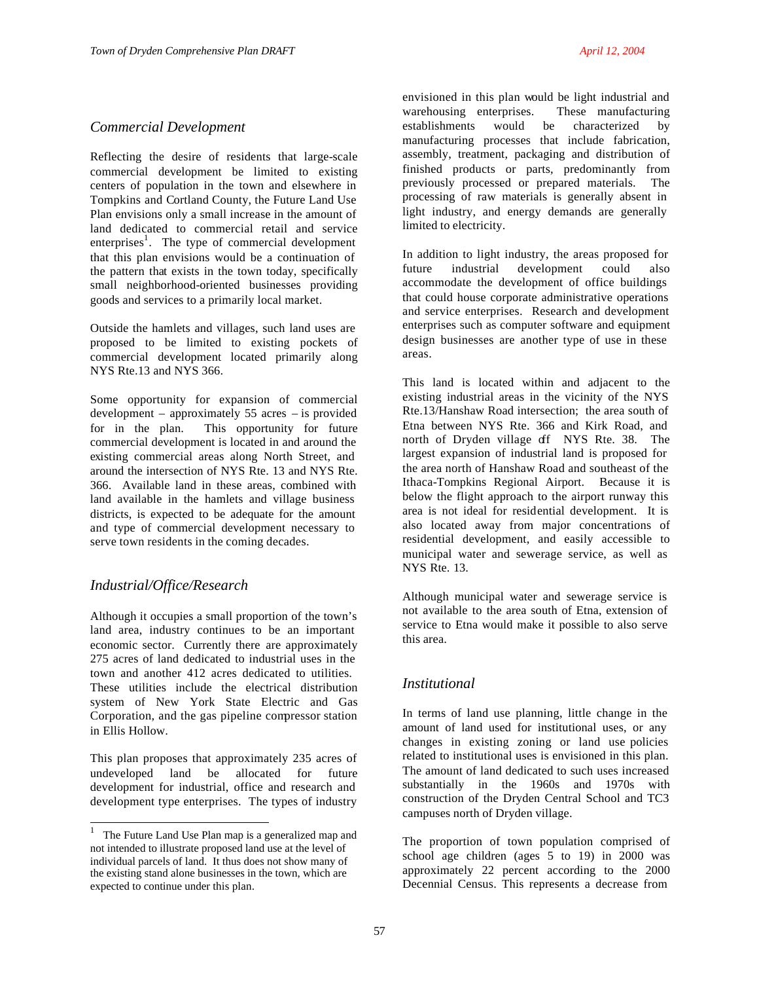## *Commercial Development*

Reflecting the desire of residents that large-scale commercial development be limited to existing centers of population in the town and elsewhere in Tompkins and Cortland County, the Future Land Use Plan envisions only a small increase in the amount of land dedicated to commercial retail and service enterprises<sup>1</sup>. The type of commercial development that this plan envisions would be a continuation of the pattern that exists in the town today, specifically small neighborhood-oriented businesses providing goods and services to a primarily local market.

Outside the hamlets and villages, such land uses are proposed to be limited to existing pockets of commercial development located primarily along NYS Rte.13 and NYS 366.

Some opportunity for expansion of commercial development – approximately 55 acres – is provided for in the plan. This opportunity for future commercial development is located in and around the existing commercial areas along North Street, and around the intersection of NYS Rte. 13 and NYS Rte. 366. Available land in these areas, combined with land available in the hamlets and village business districts, is expected to be adequate for the amount and type of commercial development necessary to serve town residents in the coming decades.

## *Industrial/Office/Research*

Although it occupies a small proportion of the town's land area, industry continues to be an important economic sector. Currently there are approximately 275 acres of land dedicated to industrial uses in the town and another 412 acres dedicated to utilities. These utilities include the electrical distribution system of New York State Electric and Gas Corporation, and the gas pipeline compressor station in Ellis Hollow.

This plan proposes that approximately 235 acres of undeveloped land be allocated for future development for industrial, office and research and development type enterprises. The types of industry

envisioned in this plan would be light industrial and warehousing enterprises. These manufacturing establishments would be characterized by manufacturing processes that include fabrication, assembly, treatment, packaging and distribution of finished products or parts, predominantly from previously processed or prepared materials. The processing of raw materials is generally absent in light industry, and energy demands are generally limited to electricity.

In addition to light industry, the areas proposed for future industrial development could also accommodate the development of office buildings that could house corporate administrative operations and service enterprises. Research and development enterprises such as computer software and equipment design businesses are another type of use in these areas.

This land is located within and adjacent to the existing industrial areas in the vicinity of the NYS Rte.13/Hanshaw Road intersection; the area south of Etna between NYS Rte. 366 and Kirk Road, and north of Dryden village off NYS Rte. 38. The largest expansion of industrial land is proposed for the area north of Hanshaw Road and southeast of the Ithaca-Tompkins Regional Airport. Because it is below the flight approach to the airport runway this area is not ideal for residential development. It is also located away from major concentrations of residential development, and easily accessible to municipal water and sewerage service, as well as NYS Rte. 13.

Although municipal water and sewerage service is not available to the area south of Etna, extension of service to Etna would make it possible to also serve this area.

## *Institutional*

In terms of land use planning, little change in the amount of land used for institutional uses, or any changes in existing zoning or land use policies related to institutional uses is envisioned in this plan. The amount of land dedicated to such uses increased substantially in the 1960s and 1970s with construction of the Dryden Central School and TC3 campuses north of Dryden village.

The proportion of town population comprised of school age children (ages 5 to 19) in 2000 was approximately 22 percent according to the 2000 Decennial Census. This represents a decrease from

<sup>&</sup>lt;sup>1</sup> The Future Land Use Plan map is a generalized map and not intended to illustrate proposed land use at the level of individual parcels of land. It thus does not show many of the existing stand alone businesses in the town, which are expected to continue under this plan.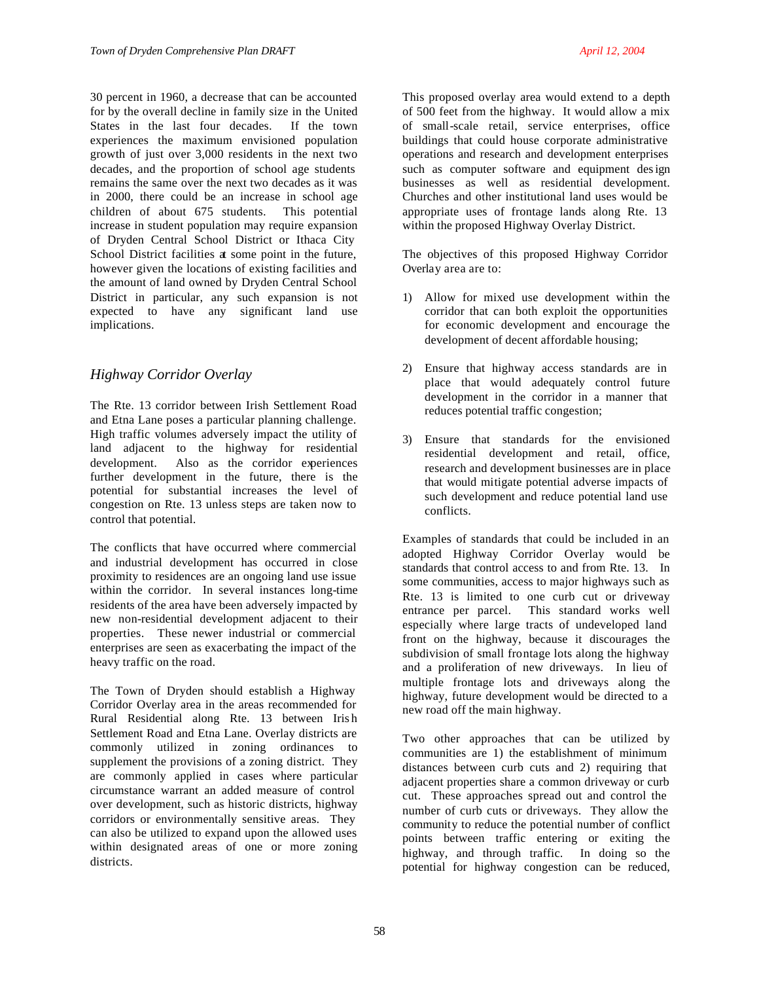30 percent in 1960, a decrease that can be accounted for by the overall decline in family size in the United States in the last four decades. If the town experiences the maximum envisioned population growth of just over 3,000 residents in the next two decades, and the proportion of school age students remains the same over the next two decades as it was in 2000, there could be an increase in school age children of about 675 students. This potential increase in student population may require expansion of Dryden Central School District or Ithaca City School District facilities at some point in the future, however given the locations of existing facilities and the amount of land owned by Dryden Central School District in particular, any such expansion is not expected to have any significant land use implications.

# *Highway Corridor Overlay*

The Rte. 13 corridor between Irish Settlement Road and Etna Lane poses a particular planning challenge. High traffic volumes adversely impact the utility of land adjacent to the highway for residential development. Also as the corridor experiences further development in the future, there is the potential for substantial increases the level of congestion on Rte. 13 unless steps are taken now to control that potential.

The conflicts that have occurred where commercial and industrial development has occurred in close proximity to residences are an ongoing land use issue within the corridor. In several instances long-time residents of the area have been adversely impacted by new non-residential development adjacent to their properties. These newer industrial or commercial enterprises are seen as exacerbating the impact of the heavy traffic on the road.

The Town of Dryden should establish a Highway Corridor Overlay area in the areas recommended for Rural Residential along Rte. 13 between Iris h Settlement Road and Etna Lane. Overlay districts are commonly utilized in zoning ordinances to supplement the provisions of a zoning district. They are commonly applied in cases where particular circumstance warrant an added measure of control over development, such as historic districts, highway corridors or environmentally sensitive areas. They can also be utilized to expand upon the allowed uses within designated areas of one or more zoning districts.

This proposed overlay area would extend to a depth of 500 feet from the highway. It would allow a mix of small-scale retail, service enterprises, office buildings that could house corporate administrative operations and research and development enterprises such as computer software and equipment design businesses as well as residential development. Churches and other institutional land uses would be appropriate uses of frontage lands along Rte. 13 within the proposed Highway Overlay District.

The objectives of this proposed Highway Corridor Overlay area are to:

- 1) Allow for mixed use development within the corridor that can both exploit the opportunities for economic development and encourage the development of decent affordable housing;
- 2) Ensure that highway access standards are in place that would adequately control future development in the corridor in a manner that reduces potential traffic congestion;
- 3) Ensure that standards for the envisioned residential development and retail, office, research and development businesses are in place that would mitigate potential adverse impacts of such development and reduce potential land use conflicts.

Examples of standards that could be included in an adopted Highway Corridor Overlay would be standards that control access to and from Rte. 13. In some communities, access to major highways such as Rte. 13 is limited to one curb cut or driveway entrance per parcel. This standard works well especially where large tracts of undeveloped land front on the highway, because it discourages the subdivision of small frontage lots along the highway and a proliferation of new driveways. In lieu of multiple frontage lots and driveways along the highway, future development would be directed to a new road off the main highway.

Two other approaches that can be utilized by communities are 1) the establishment of minimum distances between curb cuts and 2) requiring that adjacent properties share a common driveway or curb cut. These approaches spread out and control the number of curb cuts or driveways. They allow the community to reduce the potential number of conflict points between traffic entering or exiting the highway, and through traffic. In doing so the potential for highway congestion can be reduced,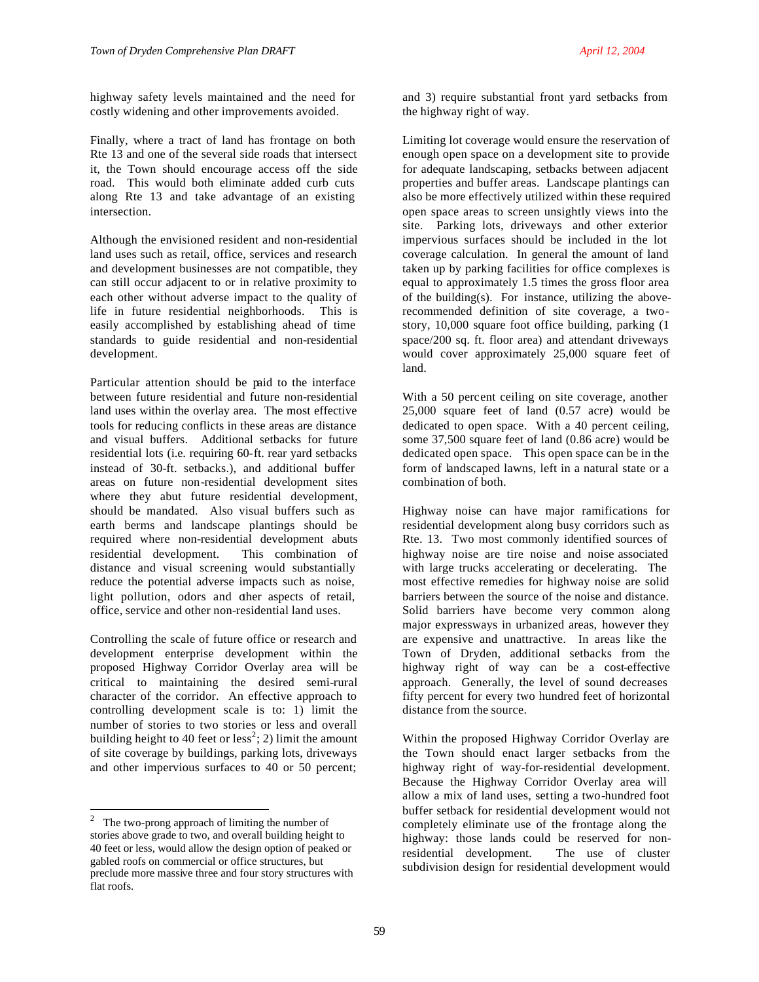Finally, where a tract of land has frontage on both Rte 13 and one of the several side roads that intersect it, the Town should encourage access off the side road. This would both eliminate added curb cuts along Rte 13 and take advantage of an existing intersection.

Although the envisioned resident and non-residential land uses such as retail, office, services and research and development businesses are not compatible, they can still occur adjacent to or in relative proximity to each other without adverse impact to the quality of life in future residential neighborhoods. This is easily accomplished by establishing ahead of time standards to guide residential and non-residential development.

Particular attention should be paid to the interface between future residential and future non-residential land uses within the overlay area. The most effective tools for reducing conflicts in these areas are distance and visual buffers. Additional setbacks for future residential lots (i.e. requiring 60-ft. rear yard setbacks instead of 30-ft. setbacks.), and additional buffer areas on future non-residential development sites where they abut future residential development, should be mandated. Also visual buffers such as earth berms and landscape plantings should be required where non-residential development abuts residential development. This combination of distance and visual screening would substantially reduce the potential adverse impacts such as noise, light pollution, odors and other aspects of retail, office, service and other non-residential land uses.

Controlling the scale of future office or research and development enterprise development within the proposed Highway Corridor Overlay area will be critical to maintaining the desired semi-rural character of the corridor. An effective approach to controlling development scale is to: 1) limit the number of stories to two stories or less and overall building height to 40 feet or  $\text{less}^2$ ; 2) limit the amount of site coverage by buildings, parking lots, driveways and other impervious surfaces to 40 or 50 percent;

l

and 3) require substantial front yard setbacks from the highway right of way.

Limiting lot coverage would ensure the reservation of enough open space on a development site to provide for adequate landscaping, setbacks between adjacent properties and buffer areas. Landscape plantings can also be more effectively utilized within these required open space areas to screen unsightly views into the site. Parking lots, driveways and other exterior impervious surfaces should be included in the lot coverage calculation. In general the amount of land taken up by parking facilities for office complexes is equal to approximately 1.5 times the gross floor area of the building(s). For instance, utilizing the aboverecommended definition of site coverage, a twostory, 10,000 square foot office building, parking (1 space/200 sq. ft. floor area) and attendant driveways would cover approximately 25,000 square feet of land.

With a 50 percent ceiling on site coverage, another 25,000 square feet of land (0.57 acre) would be dedicated to open space. With a 40 percent ceiling, some 37,500 square feet of land (0.86 acre) would be dedicated open space. This open space can be in the form of landscaped lawns, left in a natural state or a combination of both.

Highway noise can have major ramifications for residential development along busy corridors such as Rte. 13. Two most commonly identified sources of highway noise are tire noise and noise associated with large trucks accelerating or decelerating. The most effective remedies for highway noise are solid barriers between the source of the noise and distance. Solid barriers have become very common along major expressways in urbanized areas, however they are expensive and unattractive. In areas like the Town of Dryden, additional setbacks from the highway right of way can be a cost-effective approach. Generally, the level of sound decreases fifty percent for every two hundred feet of horizontal distance from the source.

Within the proposed Highway Corridor Overlay are the Town should enact larger setbacks from the highway right of way-for-residential development. Because the Highway Corridor Overlay area will allow a mix of land uses, setting a two-hundred foot buffer setback for residential development would not completely eliminate use of the frontage along the highway: those lands could be reserved for nonresidential development. The use of cluster subdivision design for residential development would

<sup>2</sup> The two-prong approach of limiting the number of stories above grade to two, and overall building height to 40 feet or less, would allow the design option of peaked or gabled roofs on commercial or office structures, but preclude more massive three and four story structures with flat roofs.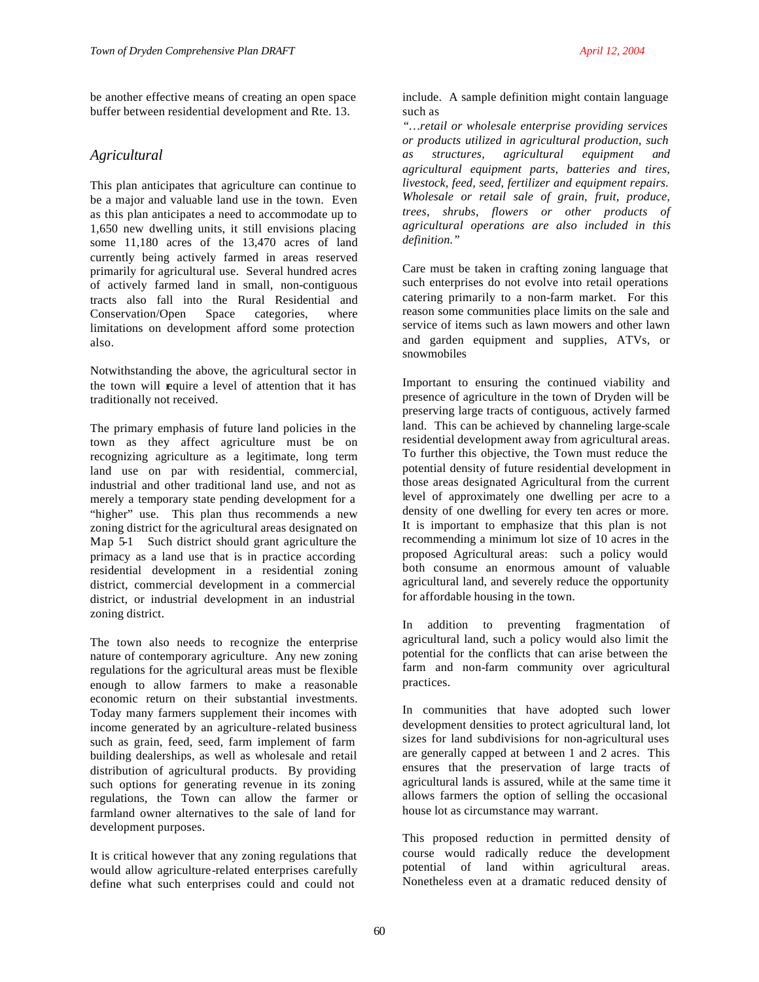be another effective means of creating an open space buffer between residential development and Rte. 13.

# *Agricultural*

This plan anticipates that agriculture can continue to be a major and valuable land use in the town. Even as this plan anticipates a need to accommodate up to 1,650 new dwelling units, it still envisions placing some 11,180 acres of the 13,470 acres of land currently being actively farmed in areas reserved primarily for agricultural use. Several hundred acres of actively farmed land in small, non-contiguous tracts also fall into the Rural Residential and Conservation/Open Space categories, where limitations on development afford some protection also.

Notwithstanding the above, the agricultural sector in the town will require a level of attention that it has traditionally not received.

The primary emphasis of future land policies in the town as they affect agriculture must be on recognizing agriculture as a legitimate, long term land use on par with residential, commercial, industrial and other traditional land use, and not as merely a temporary state pending development for a "higher" use. This plan thus recommends a new zoning district for the agricultural areas designated on Map 5-1 Such district should grant agriculture the primacy as a land use that is in practice according residential development in a residential zoning district, commercial development in a commercial district, or industrial development in an industrial zoning district.

The town also needs to recognize the enterprise nature of contemporary agriculture. Any new zoning regulations for the agricultural areas must be flexible enough to allow farmers to make a reasonable economic return on their substantial investments. Today many farmers supplement their incomes with income generated by an agriculture-related business such as grain, feed, seed, farm implement of farm building dealerships, as well as wholesale and retail distribution of agricultural products. By providing such options for generating revenue in its zoning regulations, the Town can allow the farmer or farmland owner alternatives to the sale of land for development purposes.

It is critical however that any zoning regulations that would allow agriculture-related enterprises carefully define what such enterprises could and could not

include. A sample definition might contain language such as

*"…retail or wholesale enterprise providing services or products utilized in agricultural production, such as structures, agricultural equipment and agricultural equipment parts, batteries and tires, livestock, feed, seed, fertilizer and equipment repairs. Wholesale or retail sale of grain, fruit, produce, trees, shrubs, flowers or other products of agricultural operations are also included in this definition."* 

Care must be taken in crafting zoning language that such enterprises do not evolve into retail operations catering primarily to a non-farm market. For this reason some communities place limits on the sale and service of items such as lawn mowers and other lawn and garden equipment and supplies, ATVs, or snowmobiles

Important to ensuring the continued viability and presence of agriculture in the town of Dryden will be preserving large tracts of contiguous, actively farmed land. This can be achieved by channeling large-scale residential development away from agricultural areas. To further this objective, the Town must reduce the potential density of future residential development in those areas designated Agricultural from the current level of approximately one dwelling per acre to a density of one dwelling for every ten acres or more. It is important to emphasize that this plan is not recommending a minimum lot size of 10 acres in the proposed Agricultural areas: such a policy would both consume an enormous amount of valuable agricultural land, and severely reduce the opportunity for affordable housing in the town.

In addition to preventing fragmentation of agricultural land, such a policy would also limit the potential for the conflicts that can arise between the farm and non-farm community over agricultural practices.

In communities that have adopted such lower development densities to protect agricultural land, lot sizes for land subdivisions for non-agricultural uses are generally capped at between 1 and 2 acres. This ensures that the preservation of large tracts of agricultural lands is assured, while at the same time it allows farmers the option of selling the occasional house lot as circumstance may warrant.

This proposed reduction in permitted density of course would radically reduce the development potential of land within agricultural areas. Nonetheless even at a dramatic reduced density of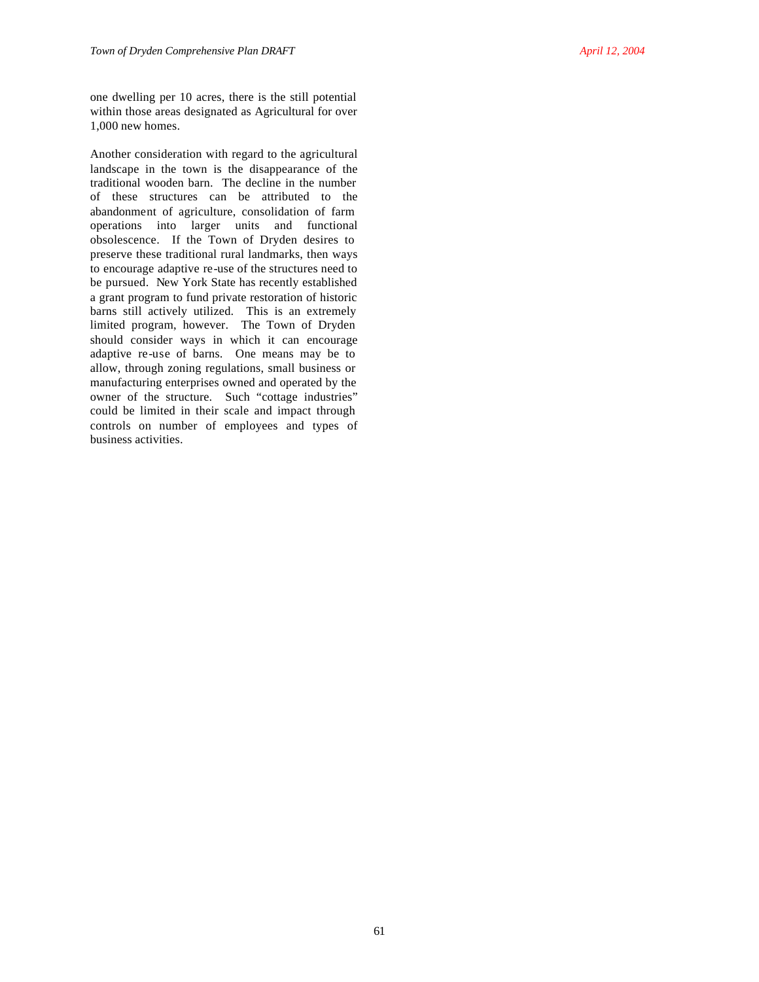one dwelling per 10 acres, there is the still potential within those areas designated as Agricultural for over 1,000 new homes.

Another consideration with regard to the agricultural landscape in the town is the disappearance of the traditional wooden barn. The decline in the number of these structures can be attributed to the abandonment of agriculture, consolidation of farm operations into larger units and functional obsolescence. If the Town of Dryden desires to preserve these traditional rural landmarks, then ways to encourage adaptive re-use of the structures need to be pursued. New York State has recently established a grant program to fund private restoration of historic barns still actively utilized. This is an extremely limited program, however. The Town of Dryden should consider ways in which it can encourage adaptive re-use of barns. One means may be to allow, through zoning regulations, small business or manufacturing enterprises owned and operated by the owner of the structure. Such "cottage industries" could be limited in their scale and impact through controls on number of employees and types of business activities.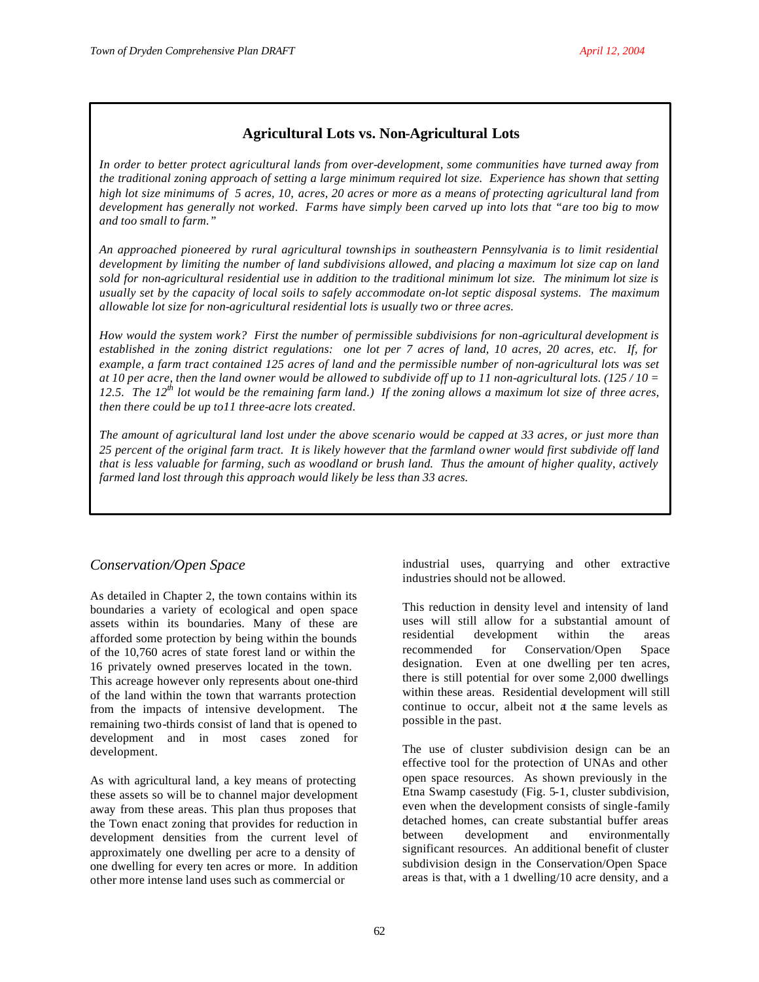# **Agricultural Lots vs. Non-Agricultural Lots**

*In order to better protect agricultural lands from over-development, some communities have turned away from the traditional zoning approach of setting a large minimum required lot size. Experience has shown that setting high lot size minimums of 5 acres, 10, acres, 20 acres or more as a means of protecting agricultural land from development has generally not worked. Farms have simply been carved up into lots that "are too big to mow and too small to farm."*

*An approached pioneered by rural agricultural townships in southeastern Pennsylvania is to limit residential development by limiting the number of land subdivisions allowed, and placing a maximum lot size cap on land sold for non-agricultural residential use in addition to the traditional minimum lot size. The minimum lot size is usually set by the capacity of local soils to safely accommodate on-lot septic disposal systems. The maximum allowable lot size for non-agricultural residential lots is usually two or three acres.*

*How would the system work? First the number of permissible subdivisions for non-agricultural development is established in the zoning district regulations: one lot per 7 acres of land, 10 acres, 20 acres, etc. If, for example, a farm tract contained 125 acres of land and the permissible number of non-agricultural lots was set at 10 per acre, then the land owner would be allowed to subdivide off up to 11 non-agricultural lots. (125 / 10 = 12.5. The 12th lot would be the remaining farm land.) If the zoning allows a maximum lot size of three acres, then there could be up to11 three-acre lots created.*

*The amount of agricultural land lost under the above scenario would be capped at 33 acres, or just more than 25 percent of the original farm tract. It is likely however that the farmland owner would first subdivide off land that is less valuable for farming, such as woodland or brush land. Thus the amount of higher quality, actively farmed land lost through this approach would likely be less than 33 acres.*

# *Conservation/Open Space*

As detailed in Chapter 2, the town contains within its boundaries a variety of ecological and open space assets within its boundaries. Many of these are afforded some protection by being within the bounds of the 10,760 acres of state forest land or within the 16 privately owned preserves located in the town. This acreage however only represents about one-third of the land within the town that warrants protection from the impacts of intensive development. The remaining two-thirds consist of land that is opened to development and in most cases zoned for development.

As with agricultural land, a key means of protecting these assets so will be to channel major development away from these areas. This plan thus proposes that the Town enact zoning that provides for reduction in development densities from the current level of approximately one dwelling per acre to a density of one dwelling for every ten acres or more. In addition other more intense land uses such as commercial or

industrial uses, quarrying and other extractive industries should not be allowed.

This reduction in density level and intensity of land uses will still allow for a substantial amount of residential development within the areas recommended for Conservation/Open Space designation. Even at one dwelling per ten acres, there is still potential for over some 2,000 dwellings within these areas. Residential development will still continue to occur, albeit not at the same levels as possible in the past.

The use of cluster subdivision design can be an effective tool for the protection of UNAs and other open space resources. As shown previously in the Etna Swamp casestudy (Fig. 5-1, cluster subdivision, even when the development consists of single-family detached homes, can create substantial buffer areas between development and environmentally significant resources. An additional benefit of cluster subdivision design in the Conservation/Open Space areas is that, with a 1 dwelling/10 acre density, and a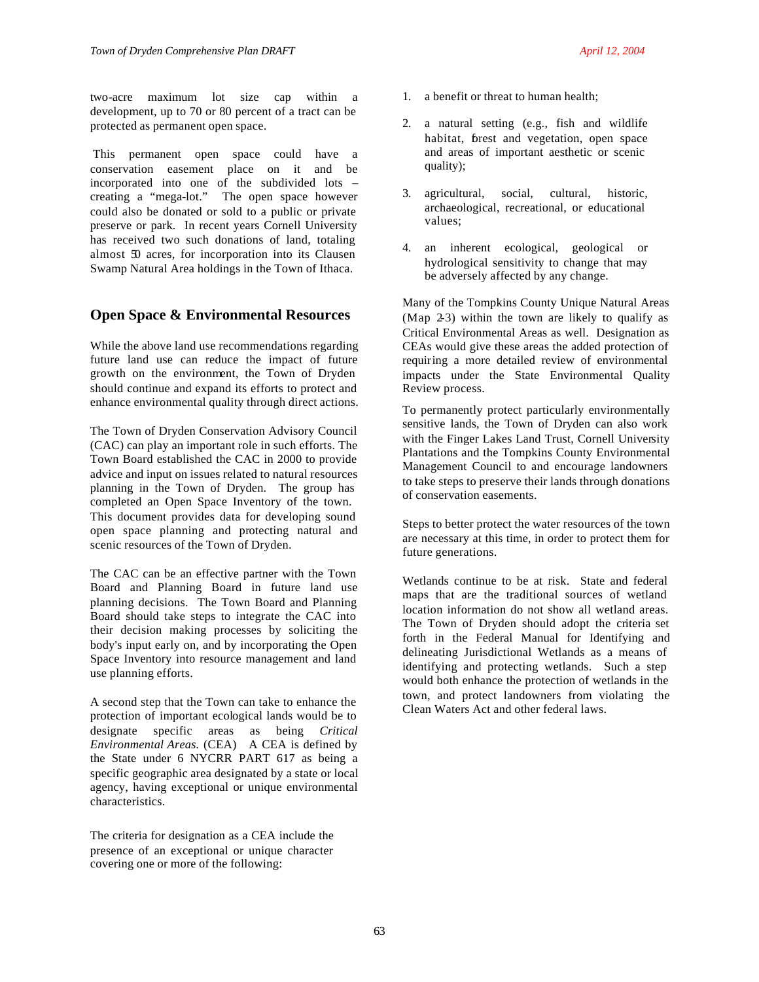two-acre maximum lot size cap within a development, up to 70 or 80 percent of a tract can be protected as permanent open space.

 This permanent open space could have a conservation easement place on it and be incorporated into one of the subdivided lots – creating a "mega-lot." The open space however could also be donated or sold to a public or private preserve or park. In recent years Cornell University has received two such donations of land, totaling almost 50 acres, for incorporation into its Clausen Swamp Natural Area holdings in the Town of Ithaca.

# **Open Space & Environmental Resources**

While the above land use recommendations regarding future land use can reduce the impact of future growth on the environment, the Town of Dryden should continue and expand its efforts to protect and enhance environmental quality through direct actions.

The Town of Dryden Conservation Advisory Council (CAC) can play an important role in such efforts. The Town Board established the CAC in 2000 to provide advice and input on issues related to natural resources planning in the Town of Dryden. The group has completed an Open Space Inventory of the town. This document provides data for developing sound open space planning and protecting natural and scenic resources of the Town of Dryden.

The CAC can be an effective partner with the Town Board and Planning Board in future land use planning decisions. The Town Board and Planning Board should take steps to integrate the CAC into their decision making processes by soliciting the body's input early on, and by incorporating the Open Space Inventory into resource management and land use planning efforts.

A second step that the Town can take to enhance the protection of important ecological lands would be to designate specific areas as being *Critical Environmental Areas.* (CEA) A CEA is defined by the State under 6 NYCRR PART 617 as being a specific geographic area designated by a state or local agency, having exceptional or unique environmental characteristics.

The criteria for designation as a CEA include the presence of an exceptional or unique character covering one or more of the following:

- 1. a benefit or threat to human health;
- 2. a natural setting (e.g., fish and wildlife habitat, forest and vegetation, open space and areas of important aesthetic or scenic quality);
- 3. agricultural, social, cultural, historic, archaeological, recreational, or educational values;
- 4. an inherent ecological, geological or hydrological sensitivity to change that may be adversely affected by any change.

Many of the Tompkins County Unique Natural Areas (Map 2-3) within the town are likely to qualify as Critical Environmental Areas as well. Designation as CEAs would give these areas the added protection of requiring a more detailed review of environmental impacts under the State Environmental Quality Review process.

To permanently protect particularly environmentally sensitive lands, the Town of Dryden can also work with the Finger Lakes Land Trust, Cornell University Plantations and the Tompkins County Environmental Management Council to and encourage landowners to take steps to preserve their lands through donations of conservation easements.

Steps to better protect the water resources of the town are necessary at this time, in order to protect them for future generations.

Wetlands continue to be at risk. State and federal maps that are the traditional sources of wetland location information do not show all wetland areas. The Town of Dryden should adopt the criteria set forth in the Federal Manual for Identifying and delineating Jurisdictional Wetlands as a means of identifying and protecting wetlands. Such a step would both enhance the protection of wetlands in the town, and protect landowners from violating the Clean Waters Act and other federal laws.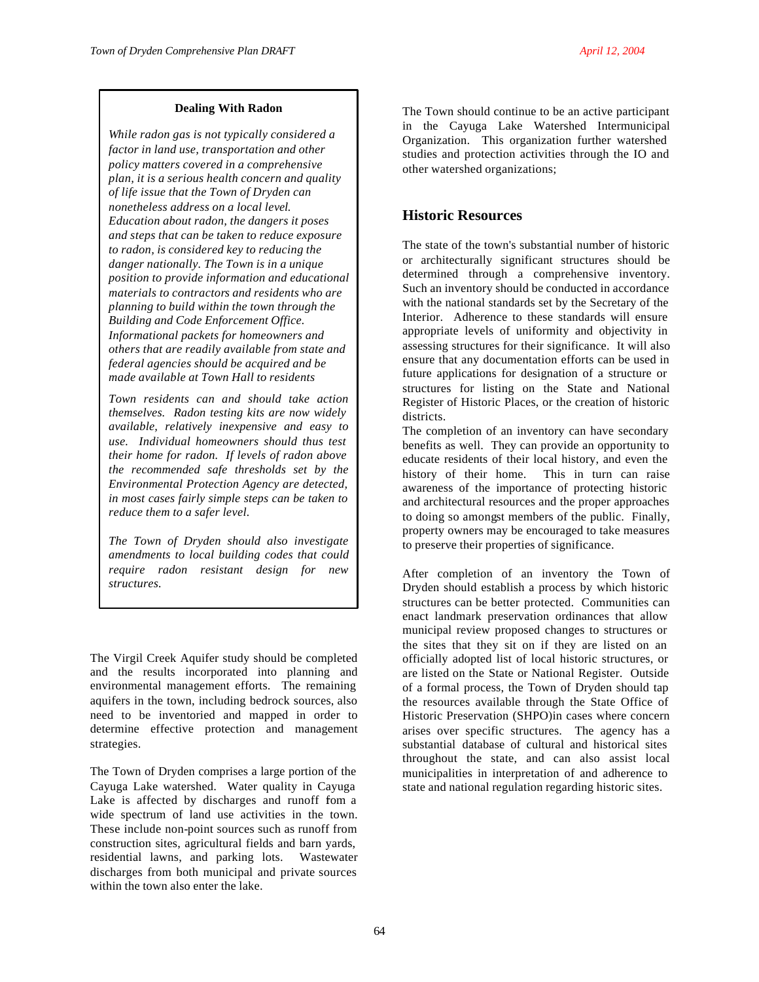#### **Dealing With Radon**

*While radon gas is not typically considered a factor in land use, transportation and other policy matters covered in a comprehensive plan, it is a serious health concern and quality of life issue that the Town of Dryden can nonetheless address on a local level. Education about radon, the dangers it poses and steps that can be taken to reduce exposure to radon, is considered key to reducing the danger nationally. The Town is in a unique position to provide information and educational materials to contractors and residents who are planning to build within the town through the Building and Code Enforcement Office. Informational packets for homeowners and others that are readily available from state and federal agencies should be acquired and be made available at Town Hall to residents*

*Town residents can and should take action themselves. Radon testing kits are now widely available, relatively inexpensive and easy to use. Individual homeowners should thus test their home for radon. If levels of radon above the recommended safe thresholds set by the Environmental Protection Agency are detected, in most cases fairly simple steps can be taken to reduce them to a safer level.*

*The Town of Dryden should also investigate amendments to local building codes that could require radon resistant design for new structures.* 

The Virgil Creek Aquifer study should be completed and the results incorporated into planning and environmental management efforts. The remaining aquifers in the town, including bedrock sources, also need to be inventoried and mapped in order to determine effective protection and management strategies.

The Town of Dryden comprises a large portion of the Cayuga Lake watershed. Water quality in Cayuga Lake is affected by discharges and runoff fom a wide spectrum of land use activities in the town. These include non-point sources such as runoff from construction sites, agricultural fields and barn yards, residential lawns, and parking lots. Wastewater discharges from both municipal and private sources within the town also enter the lake.

The Town should continue to be an active participant in the Cayuga Lake Watershed Intermunicipal Organization. This organization further watershed studies and protection activities through the IO and other watershed organizations;

# **Historic Resources**

The state of the town's substantial number of historic or architecturally significant structures should be determined through a comprehensive inventory. Such an inventory should be conducted in accordance with the national standards set by the Secretary of the Interior. Adherence to these standards will ensure appropriate levels of uniformity and objectivity in assessing structures for their significance. It will also ensure that any documentation efforts can be used in future applications for designation of a structure or structures for listing on the State and National Register of Historic Places, or the creation of historic districts.

The completion of an inventory can have secondary benefits as well. They can provide an opportunity to educate residents of their local history, and even the history of their home. This in turn can raise awareness of the importance of protecting historic and architectural resources and the proper approaches to doing so amongst members of the public. Finally, property owners may be encouraged to take measures to preserve their properties of significance.

After completion of an inventory the Town of Dryden should establish a process by which historic structures can be better protected. Communities can enact landmark preservation ordinances that allow municipal review proposed changes to structures or the sites that they sit on if they are listed on an officially adopted list of local historic structures, or are listed on the State or National Register. Outside of a formal process, the Town of Dryden should tap the resources available through the State Office of Historic Preservation (SHPO)in cases where concern arises over specific structures. The agency has a substantial database of cultural and historical sites throughout the state, and can also assist local municipalities in interpretation of and adherence to state and national regulation regarding historic sites.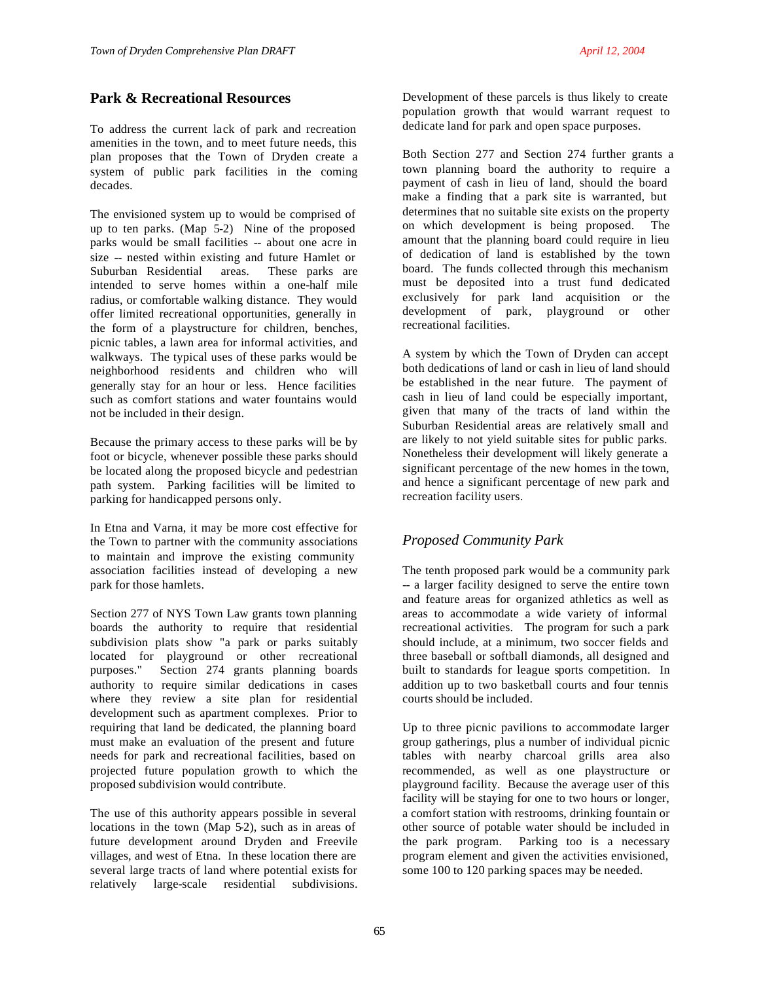# **Park & Recreational Resources**

To address the current lack of park and recreation amenities in the town, and to meet future needs, this plan proposes that the Town of Dryden create a system of public park facilities in the coming decades.

The envisioned system up to would be comprised of up to ten parks. (Map  $\overline{5}$ -2) Nine of the proposed parks would be small facilities -- about one acre in size -- nested within existing and future Hamlet or Suburban Residential areas. These parks are intended to serve homes within a one-half mile radius, or comfortable walking distance. They would offer limited recreational opportunities, generally in the form of a playstructure for children, benches, picnic tables, a lawn area for informal activities, and walkways. The typical uses of these parks would be neighborhood residents and children who will generally stay for an hour or less. Hence facilities such as comfort stations and water fountains would not be included in their design.

Because the primary access to these parks will be by foot or bicycle, whenever possible these parks should be located along the proposed bicycle and pedestrian path system. Parking facilities will be limited to parking for handicapped persons only.

In Etna and Varna, it may be more cost effective for the Town to partner with the community associations to maintain and improve the existing community association facilities instead of developing a new park for those hamlets.

Section 277 of NYS Town Law grants town planning boards the authority to require that residential subdivision plats show "a park or parks suitably located for playground or other recreational purposes." Section 274 grants planning boards authority to require similar dedications in cases where they review a site plan for residential development such as apartment complexes. Prior to requiring that land be dedicated, the planning board must make an evaluation of the present and future needs for park and recreational facilities, based on projected future population growth to which the proposed subdivision would contribute.

The use of this authority appears possible in several locations in the town (Map 5-2), such as in areas of future development around Dryden and Freevile villages, and west of Etna. In these location there are several large tracts of land where potential exists for relatively large-scale residential subdivisions.

Development of these parcels is thus likely to create population growth that would warrant request to dedicate land for park and open space purposes.

Both Section 277 and Section 274 further grants a town planning board the authority to require a payment of cash in lieu of land, should the board make a finding that a park site is warranted, but determines that no suitable site exists on the property on which development is being proposed. The amount that the planning board could require in lieu of dedication of land is established by the town board. The funds collected through this mechanism must be deposited into a trust fund dedicated exclusively for park land acquisition or the development of park, playground or other recreational facilities.

A system by which the Town of Dryden can accept both dedications of land or cash in lieu of land should be established in the near future. The payment of cash in lieu of land could be especially important, given that many of the tracts of land within the Suburban Residential areas are relatively small and are likely to not yield suitable sites for public parks. Nonetheless their development will likely generate a significant percentage of the new homes in the town, and hence a significant percentage of new park and recreation facility users.

# *Proposed Community Park*

The tenth proposed park would be a community park -- a larger facility designed to serve the entire town and feature areas for organized athletics as well as areas to accommodate a wide variety of informal recreational activities. The program for such a park should include, at a minimum, two soccer fields and three baseball or softball diamonds, all designed and built to standards for league sports competition. In addition up to two basketball courts and four tennis courts should be included.

Up to three picnic pavilions to accommodate larger group gatherings, plus a number of individual picnic tables with nearby charcoal grills area also recommended, as well as one playstructure or playground facility. Because the average user of this facility will be staying for one to two hours or longer, a comfort station with restrooms, drinking fountain or other source of potable water should be included in the park program. Parking too is a necessary program element and given the activities envisioned, some 100 to 120 parking spaces may be needed.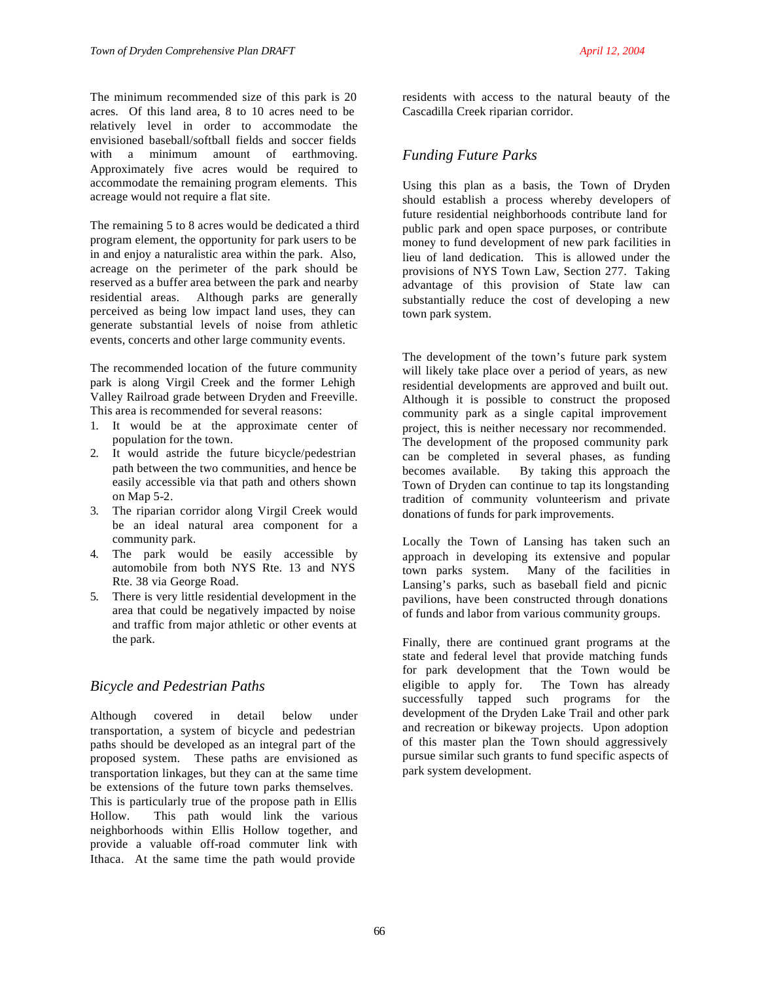The minimum recommended size of this park is 20 acres. Of this land area, 8 to 10 acres need to be relatively level in order to accommodate the envisioned baseball/softball fields and soccer fields with a minimum amount of earthmoving. Approximately five acres would be required to accommodate the remaining program elements. This acreage would not require a flat site.

The remaining 5 to 8 acres would be dedicated a third program element, the opportunity for park users to be in and enjoy a naturalistic area within the park. Also, acreage on the perimeter of the park should be reserved as a buffer area between the park and nearby residential areas. Although parks are generally perceived as being low impact land uses, they can generate substantial levels of noise from athletic events, concerts and other large community events.

The recommended location of the future community park is along Virgil Creek and the former Lehigh Valley Railroad grade between Dryden and Freeville. This area is recommended for several reasons:

- 1. It would be at the approximate center of population for the town.
- 2. It would astride the future bicycle/pedestrian path between the two communities, and hence be easily accessible via that path and others shown on Map 5-2.
- 3. The riparian corridor along Virgil Creek would be an ideal natural area component for a community park.
- 4. The park would be easily accessible by automobile from both NYS Rte. 13 and NYS Rte. 38 via George Road.
- 5. There is very little residential development in the area that could be negatively impacted by noise and traffic from major athletic or other events at the park.

# *Bicycle and Pedestrian Paths*

Although covered in detail below under transportation, a system of bicycle and pedestrian paths should be developed as an integral part of the proposed system. These paths are envisioned as transportation linkages, but they can at the same time be extensions of the future town parks themselves. This is particularly true of the propose path in Ellis Hollow. This path would link the various neighborhoods within Ellis Hollow together, and provide a valuable off-road commuter link with Ithaca. At the same time the path would provide

residents with access to the natural beauty of the Cascadilla Creek riparian corridor.

# *Funding Future Parks*

Using this plan as a basis, the Town of Dryden should establish a process whereby developers of future residential neighborhoods contribute land for public park and open space purposes, or contribute money to fund development of new park facilities in lieu of land dedication. This is allowed under the provisions of NYS Town Law, Section 277. Taking advantage of this provision of State law can substantially reduce the cost of developing a new town park system.

The development of the town's future park system will likely take place over a period of years, as new residential developments are approved and built out. Although it is possible to construct the proposed community park as a single capital improvement project, this is neither necessary nor recommended. The development of the proposed community park can be completed in several phases, as funding becomes available. By taking this approach the Town of Dryden can continue to tap its longstanding tradition of community volunteerism and private donations of funds for park improvements.

Locally the Town of Lansing has taken such an approach in developing its extensive and popular town parks system. Many of the facilities in Lansing's parks, such as baseball field and picnic pavilions, have been constructed through donations of funds and labor from various community groups.

Finally, there are continued grant programs at the state and federal level that provide matching funds for park development that the Town would be eligible to apply for. The Town has already successfully tapped such programs for the development of the Dryden Lake Trail and other park and recreation or bikeway projects. Upon adoption of this master plan the Town should aggressively pursue similar such grants to fund specific aspects of park system development.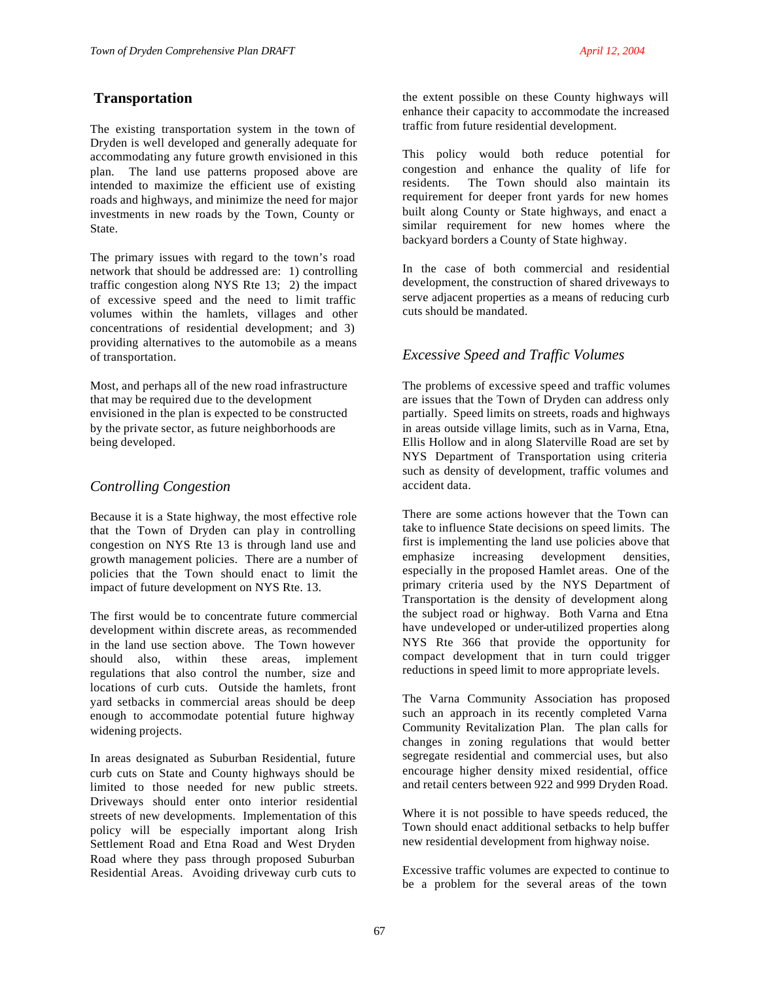## **Transportation**

The existing transportation system in the town of Dryden is well developed and generally adequate for accommodating any future growth envisioned in this plan. The land use patterns proposed above are intended to maximize the efficient use of existing roads and highways, and minimize the need for major investments in new roads by the Town, County or State.

The primary issues with regard to the town's road network that should be addressed are: 1) controlling traffic congestion along NYS Rte 13; 2) the impact of excessive speed and the need to limit traffic volumes within the hamlets, villages and other concentrations of residential development; and 3) providing alternatives to the automobile as a means of transportation.

Most, and perhaps all of the new road infrastructure that may be required due to the development envisioned in the plan is expected to be constructed by the private sector, as future neighborhoods are being developed.

## *Controlling Congestion*

Because it is a State highway, the most effective role that the Town of Dryden can play in controlling congestion on NYS Rte 13 is through land use and growth management policies. There are a number of policies that the Town should enact to limit the impact of future development on NYS Rte. 13.

The first would be to concentrate future commercial development within discrete areas, as recommended in the land use section above. The Town however should also, within these areas, implement regulations that also control the number, size and locations of curb cuts. Outside the hamlets, front yard setbacks in commercial areas should be deep enough to accommodate potential future highway widening projects.

In areas designated as Suburban Residential, future curb cuts on State and County highways should be limited to those needed for new public streets. Driveways should enter onto interior residential streets of new developments. Implementation of this policy will be especially important along Irish Settlement Road and Etna Road and West Dryden Road where they pass through proposed Suburban Residential Areas. Avoiding driveway curb cuts to

the extent possible on these County highways will enhance their capacity to accommodate the increased traffic from future residential development.

This policy would both reduce potential for congestion and enhance the quality of life for residents. The Town should also maintain its requirement for deeper front yards for new homes built along County or State highways, and enact a similar requirement for new homes where the backyard borders a County of State highway.

In the case of both commercial and residential development, the construction of shared driveways to serve adjacent properties as a means of reducing curb cuts should be mandated.

## *Excessive Speed and Traffic Volumes*

The problems of excessive speed and traffic volumes are issues that the Town of Dryden can address only partially. Speed limits on streets, roads and highways in areas outside village limits, such as in Varna, Etna, Ellis Hollow and in along Slaterville Road are set by NYS Department of Transportation using criteria such as density of development, traffic volumes and accident data.

There are some actions however that the Town can take to influence State decisions on speed limits. The first is implementing the land use policies above that emphasize increasing development densities, especially in the proposed Hamlet areas. One of the primary criteria used by the NYS Department of Transportation is the density of development along the subject road or highway. Both Varna and Etna have undeveloped or under-utilized properties along NYS Rte 366 that provide the opportunity for compact development that in turn could trigger reductions in speed limit to more appropriate levels.

The Varna Community Association has proposed such an approach in its recently completed Varna Community Revitalization Plan. The plan calls for changes in zoning regulations that would better segregate residential and commercial uses, but also encourage higher density mixed residential, office and retail centers between 922 and 999 Dryden Road.

Where it is not possible to have speeds reduced, the Town should enact additional setbacks to help buffer new residential development from highway noise.

Excessive traffic volumes are expected to continue to be a problem for the several areas of the town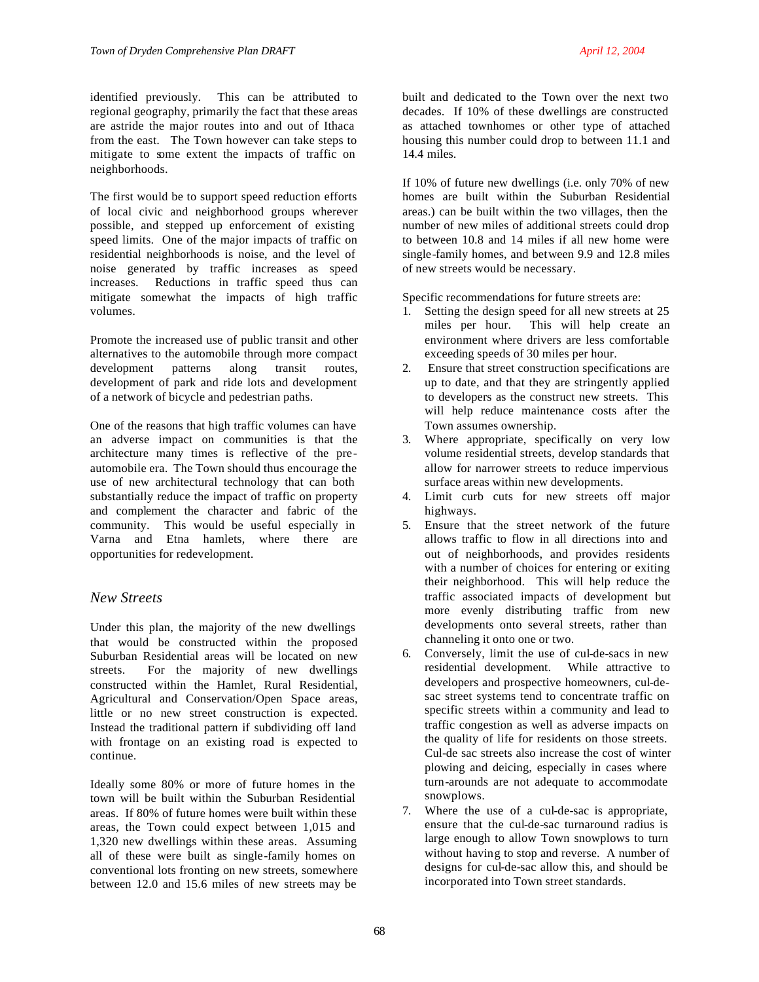identified previously. This can be attributed to regional geography, primarily the fact that these areas are astride the major routes into and out of Ithaca from the east. The Town however can take steps to mitigate to some extent the impacts of traffic on neighborhoods.

The first would be to support speed reduction efforts of local civic and neighborhood groups wherever possible, and stepped up enforcement of existing speed limits. One of the major impacts of traffic on residential neighborhoods is noise, and the level of noise generated by traffic increases as speed increases. Reductions in traffic speed thus can mitigate somewhat the impacts of high traffic volumes.

Promote the increased use of public transit and other alternatives to the automobile through more compact development patterns along transit routes, development of park and ride lots and development of a network of bicycle and pedestrian paths.

One of the reasons that high traffic volumes can have an adverse impact on communities is that the architecture many times is reflective of the preautomobile era. The Town should thus encourage the use of new architectural technology that can both substantially reduce the impact of traffic on property and complement the character and fabric of the community. This would be useful especially in Varna and Etna hamlets, where there are opportunities for redevelopment.

## *New Streets*

Under this plan, the majority of the new dwellings that would be constructed within the proposed Suburban Residential areas will be located on new streets. For the majority of new dwellings constructed within the Hamlet, Rural Residential, Agricultural and Conservation/Open Space areas, little or no new street construction is expected. Instead the traditional pattern if subdividing off land with frontage on an existing road is expected to continue.

Ideally some 80% or more of future homes in the town will be built within the Suburban Residential areas. If 80% of future homes were built within these areas, the Town could expect between 1,015 and 1,320 new dwellings within these areas. Assuming all of these were built as single-family homes on conventional lots fronting on new streets, somewhere between 12.0 and 15.6 miles of new streets may be

built and dedicated to the Town over the next two decades. If 10% of these dwellings are constructed as attached townhomes or other type of attached housing this number could drop to between 11.1 and 14.4 miles.

If 10% of future new dwellings (i.e. only 70% of new homes are built within the Suburban Residential areas.) can be built within the two villages, then the number of new miles of additional streets could drop to between 10.8 and 14 miles if all new home were single-family homes, and between 9.9 and 12.8 miles of new streets would be necessary.

Specific recommendations for future streets are:

- 1. Setting the design speed for all new streets at 25 miles per hour. This will help create an environment where drivers are less comfortable exceeding speeds of 30 miles per hour.
- 2. Ensure that street construction specifications are up to date, and that they are stringently applied to developers as the construct new streets. This will help reduce maintenance costs after the Town assumes ownership.
- 3. Where appropriate, specifically on very low volume residential streets, develop standards that allow for narrower streets to reduce impervious surface areas within new developments.
- 4. Limit curb cuts for new streets off major highways.
- 5. Ensure that the street network of the future allows traffic to flow in all directions into and out of neighborhoods, and provides residents with a number of choices for entering or exiting their neighborhood. This will help reduce the traffic associated impacts of development but more evenly distributing traffic from new developments onto several streets, rather than channeling it onto one or two.
- 6. Conversely, limit the use of cul-de-sacs in new residential development. While attractive to developers and prospective homeowners, cul-desac street systems tend to concentrate traffic on specific streets within a community and lead to traffic congestion as well as adverse impacts on the quality of life for residents on those streets. Cul-de sac streets also increase the cost of winter plowing and deicing, especially in cases where turn-arounds are not adequate to accommodate snowplows.
- 7. Where the use of a cul-de-sac is appropriate, ensure that the cul-de-sac turnaround radius is large enough to allow Town snowplows to turn without having to stop and reverse. A number of designs for cul-de-sac allow this, and should be incorporated into Town street standards.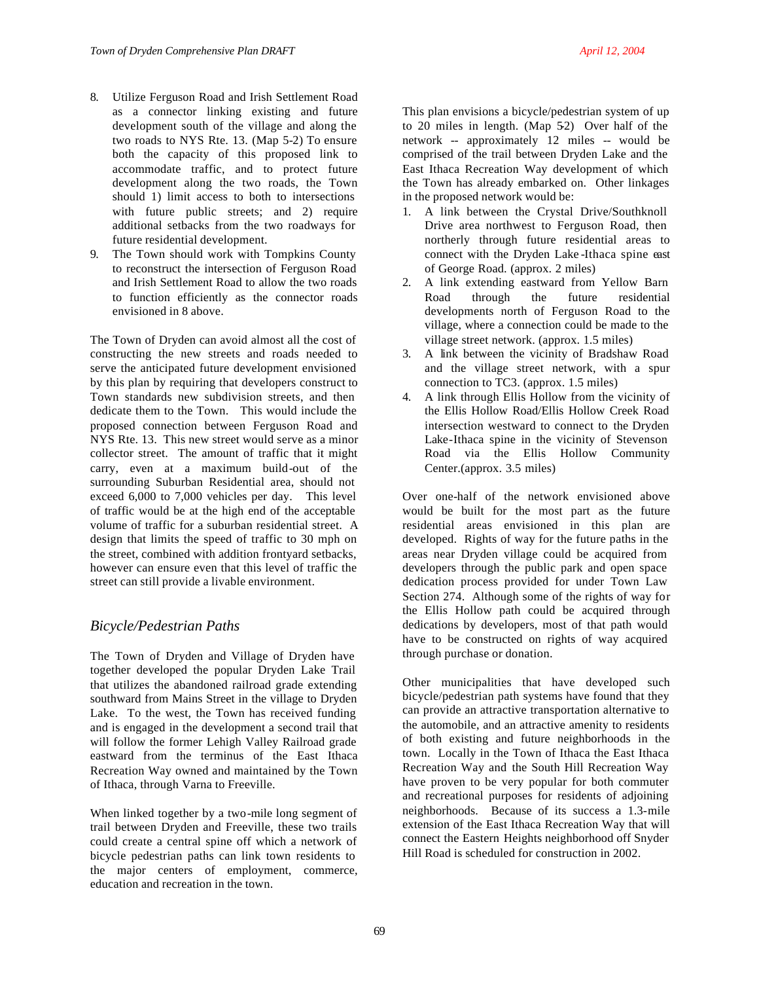- 8. Utilize Ferguson Road and Irish Settlement Road as a connector linking existing and future development south of the village and along the two roads to NYS Rte. 13. (Map 5-2) To ensure both the capacity of this proposed link to accommodate traffic, and to protect future development along the two roads, the Town should 1) limit access to both to intersections with future public streets; and 2) require additional setbacks from the two roadways for future residential development.
- 9. The Town should work with Tompkins County to reconstruct the intersection of Ferguson Road and Irish Settlement Road to allow the two roads to function efficiently as the connector roads envisioned in 8 above.

The Town of Dryden can avoid almost all the cost of constructing the new streets and roads needed to serve the anticipated future development envisioned by this plan by requiring that developers construct to Town standards new subdivision streets, and then dedicate them to the Town. This would include the proposed connection between Ferguson Road and NYS Rte. 13. This new street would serve as a minor collector street. The amount of traffic that it might carry, even at a maximum build-out of the surrounding Suburban Residential area, should not exceed 6,000 to 7,000 vehicles per day. This level of traffic would be at the high end of the acceptable volume of traffic for a suburban residential street. A design that limits the speed of traffic to 30 mph on the street, combined with addition frontyard setbacks, however can ensure even that this level of traffic the street can still provide a livable environment.

# *Bicycle/Pedestrian Paths*

The Town of Dryden and Village of Dryden have together developed the popular Dryden Lake Trail that utilizes the abandoned railroad grade extending southward from Mains Street in the village to Dryden Lake. To the west, the Town has received funding and is engaged in the development a second trail that will follow the former Lehigh Valley Railroad grade eastward from the terminus of the East Ithaca Recreation Way owned and maintained by the Town of Ithaca, through Varna to Freeville.

When linked together by a two-mile long segment of trail between Dryden and Freeville, these two trails could create a central spine off which a network of bicycle pedestrian paths can link town residents to the major centers of employment, commerce, education and recreation in the town.

This plan envisions a bicycle/pedestrian system of up to 20 miles in length. (Map  $5-2$ ) Over half of the network -- approximately 12 miles -- would be comprised of the trail between Dryden Lake and the East Ithaca Recreation Way development of which the Town has already embarked on. Other linkages in the proposed network would be:

- 1. A link between the Crystal Drive/Southknoll Drive area northwest to Ferguson Road, then northerly through future residential areas to connect with the Dryden Lake -Ithaca spine east of George Road. (approx. 2 miles)
- 2. A link extending eastward from Yellow Barn Road through the future residential developments north of Ferguson Road to the village, where a connection could be made to the village street network. (approx. 1.5 miles)
- 3. A link between the vicinity of Bradshaw Road and the village street network, with a spur connection to TC3. (approx. 1.5 miles)
- 4. A link through Ellis Hollow from the vicinity of the Ellis Hollow Road/Ellis Hollow Creek Road intersection westward to connect to the Dryden Lake-Ithaca spine in the vicinity of Stevenson Road via the Ellis Hollow Community Center.(approx. 3.5 miles)

Over one-half of the network envisioned above would be built for the most part as the future residential areas envisioned in this plan are developed. Rights of way for the future paths in the areas near Dryden village could be acquired from developers through the public park and open space dedication process provided for under Town Law Section 274. Although some of the rights of way for the Ellis Hollow path could be acquired through dedications by developers, most of that path would have to be constructed on rights of way acquired through purchase or donation.

Other municipalities that have developed such bicycle/pedestrian path systems have found that they can provide an attractive transportation alternative to the automobile, and an attractive amenity to residents of both existing and future neighborhoods in the town. Locally in the Town of Ithaca the East Ithaca Recreation Way and the South Hill Recreation Way have proven to be very popular for both commuter and recreational purposes for residents of adjoining neighborhoods. Because of its success a 1.3-mile extension of the East Ithaca Recreation Way that will connect the Eastern Heights neighborhood off Snyder Hill Road is scheduled for construction in 2002.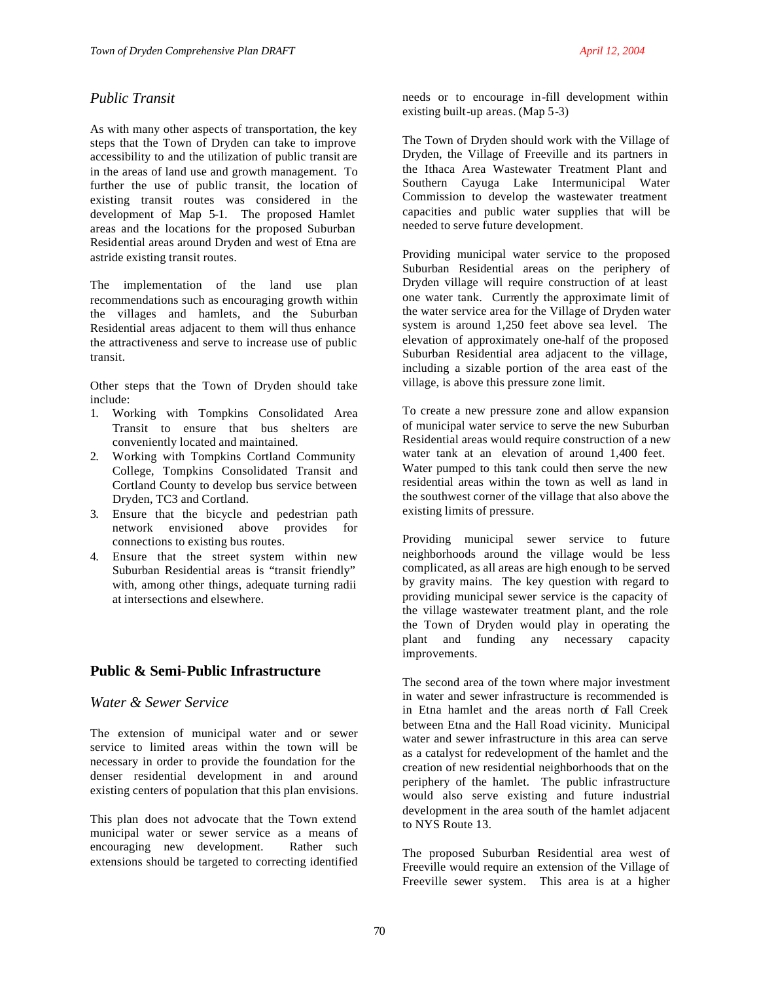# *Public Transit*

As with many other aspects of transportation, the key steps that the Town of Dryden can take to improve accessibility to and the utilization of public transit are in the areas of land use and growth management. To further the use of public transit, the location of existing transit routes was considered in the development of Map 5-1. The proposed Hamlet areas and the locations for the proposed Suburban Residential areas around Dryden and west of Etna are astride existing transit routes.

The implementation of the land use plan recommendations such as encouraging growth within the villages and hamlets, and the Suburban Residential areas adjacent to them will thus enhance the attractiveness and serve to increase use of public transit.

Other steps that the Town of Dryden should take include:

- 1. Working with Tompkins Consolidated Area Transit to ensure that bus shelters are conveniently located and maintained.
- 2. Working with Tompkins Cortland Community College, Tompkins Consolidated Transit and Cortland County to develop bus service between Dryden, TC3 and Cortland.
- 3. Ensure that the bicycle and pedestrian path network envisioned above provides for connections to existing bus routes.
- 4. Ensure that the street system within new Suburban Residential areas is "transit friendly" with, among other things, adequate turning radii at intersections and elsewhere.

## **Public & Semi-Public Infrastructure**

## *Water & Sewer Service*

The extension of municipal water and or sewer service to limited areas within the town will be necessary in order to provide the foundation for the denser residential development in and around existing centers of population that this plan envisions.

This plan does not advocate that the Town extend municipal water or sewer service as a means of encouraging new development. Rather such extensions should be targeted to correcting identified

needs or to encourage in-fill development within existing built-up areas. (Map 5-3)

The Town of Dryden should work with the Village of Dryden, the Village of Freeville and its partners in the Ithaca Area Wastewater Treatment Plant and Southern Cayuga Lake Intermunicipal Water Commission to develop the wastewater treatment capacities and public water supplies that will be needed to serve future development.

Providing municipal water service to the proposed Suburban Residential areas on the periphery of Dryden village will require construction of at least one water tank. Currently the approximate limit of the water service area for the Village of Dryden water system is around 1,250 feet above sea level. The elevation of approximately one-half of the proposed Suburban Residential area adjacent to the village, including a sizable portion of the area east of the village, is above this pressure zone limit.

To create a new pressure zone and allow expansion of municipal water service to serve the new Suburban Residential areas would require construction of a new water tank at an elevation of around 1,400 feet. Water pumped to this tank could then serve the new residential areas within the town as well as land in the southwest corner of the village that also above the existing limits of pressure.

Providing municipal sewer service to future neighborhoods around the village would be less complicated, as all areas are high enough to be served by gravity mains. The key question with regard to providing municipal sewer service is the capacity of the village wastewater treatment plant, and the role the Town of Dryden would play in operating the plant and funding any necessary capacity improvements.

The second area of the town where major investment in water and sewer infrastructure is recommended is in Etna hamlet and the areas north of Fall Creek between Etna and the Hall Road vicinity. Municipal water and sewer infrastructure in this area can serve as a catalyst for redevelopment of the hamlet and the creation of new residential neighborhoods that on the periphery of the hamlet. The public infrastructure would also serve existing and future industrial development in the area south of the hamlet adjacent to NYS Route 13.

The proposed Suburban Residential area west of Freeville would require an extension of the Village of Freeville sewer system. This area is at a higher